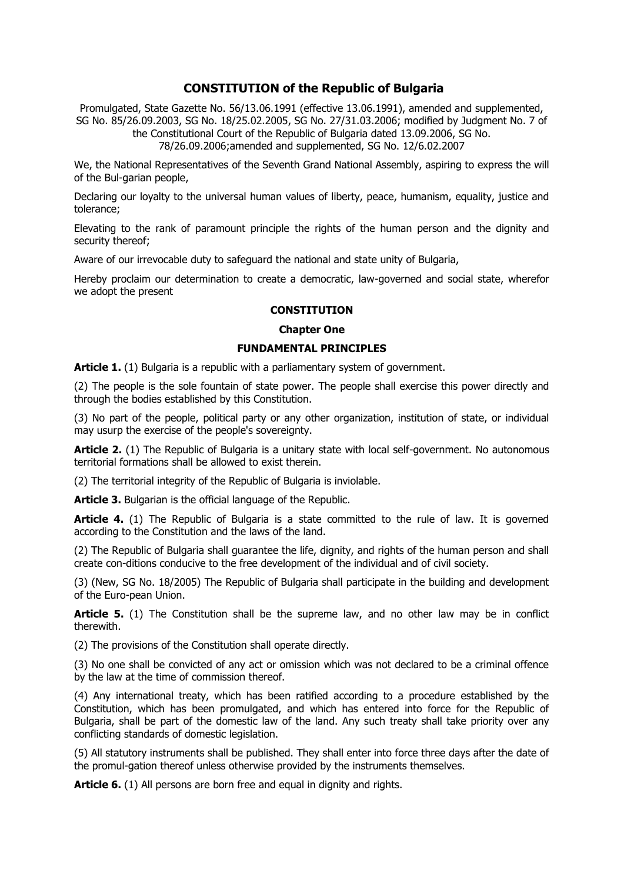# **CONSTITUTION of the Republic of Bulgaria**

Promulgated, State Gazette No. 56/13.06.1991 (effective 13.06.1991), amended and supplemented, SG No. 85/26.09.2003, SG No. 18/25.02.2005, SG No. 27/31.03.2006; modified by Judgment No. 7 of the Constitutional Court of the Republic of Bulgaria dated 13.09.2006, SG No.

78/26.09.2006;amended and supplemented, SG No. 12/6.02.2007

We, the National Representatives of the Seventh Grand National Assembly, aspiring to express the will of the Bul-garian people,

Declaring our loyalty to the universal human values of liberty, peace, humanism, equality, justice and tolerance;

Elevating to the rank of paramount principle the rights of the human person and the dignity and security thereof;

Aware of our irrevocable duty to safeguard the national and state unity of Bulgaria,

Hereby proclaim our determination to create a democratic, law-governed and social state, wherefor we adopt the present

### **CONSTITUTION**

#### **Chapter One**

# **FUNDAMENTAL PRINCIPLES**

**Article 1.** (1) Bulgaria is a republic with a parliamentary system of government.

(2) The people is the sole fountain of state power. The people shall exercise this power directly and through the bodies established by this Constitution.

(3) No part of the people, political party or any other organization, institution of state, or individual may usurp the exercise of the people's sovereignty.

Article 2. (1) The Republic of Bulgaria is a unitary state with local self-government. No autonomous territorial formations shall be allowed to exist therein.

(2) The territorial integrity of the Republic of Bulgaria is inviolable.

**Article 3.** Bulgarian is the official language of the Republic.

**Article 4.** (1) The Republic of Bulgaria is a state committed to the rule of law. It is governed according to the Constitution and the laws of the land.

(2) The Republic of Bulgaria shall guarantee the life, dignity, and rights of the human person and shall create con-ditions conducive to the free development of the individual and of civil society.

(3) (New, SG No. 18/2005) The Republic of Bulgaria shall participate in the building and development of the Euro-pean Union.

**Article 5.** (1) The Constitution shall be the supreme law, and no other law may be in conflict therewith.

(2) The provisions of the Constitution shall operate directly.

(3) No one shall be convicted of any act or omission which was not declared to be a criminal offence by the law at the time of commission thereof.

(4) Any international treaty, which has been ratified according to a procedure established by the Constitution, which has been promulgated, and which has entered into force for the Republic of Bulgaria, shall be part of the domestic law of the land. Any such treaty shall take priority over any conflicting standards of domestic legislation.

(5) All statutory instruments shall be published. They shall enter into force three days after the date of the promul-gation thereof unless otherwise provided by the instruments themselves.

**Article 6.** (1) All persons are born free and equal in dignity and rights.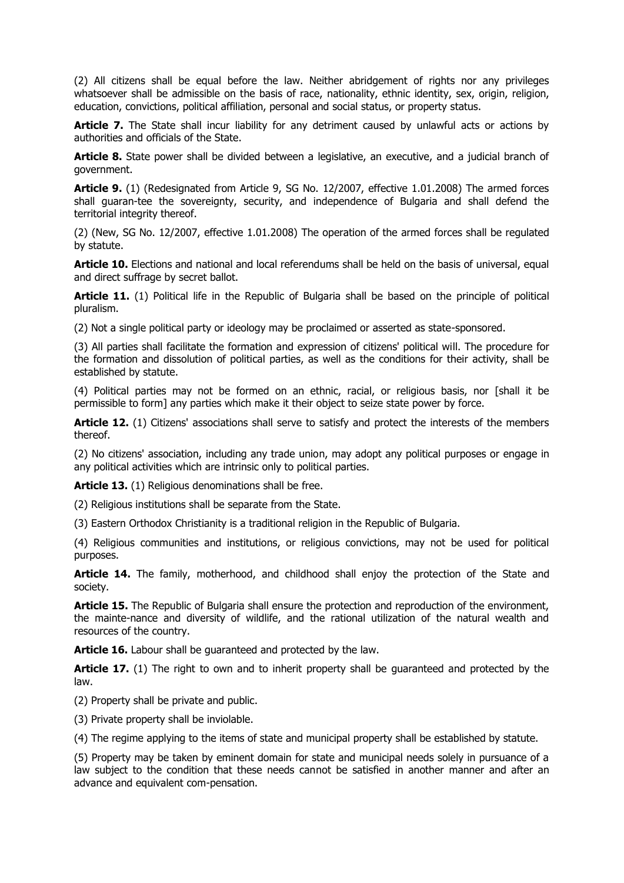(2) All citizens shall be equal before the law. Neither abridgement of rights nor any privileges whatsoever shall be admissible on the basis of race, nationality, ethnic identity, sex, origin, religion, education, convictions, political affiliation, personal and social status, or property status.

**Article 7.** The State shall incur liability for any detriment caused by unlawful acts or actions by authorities and officials of the State.

**Article 8.** State power shall be divided between a legislative, an executive, and a judicial branch of government.

**Article 9.** (1) (Redesignated from Article 9, SG No. 12/2007, effective 1.01.2008) The armed forces shall guaran-tee the sovereignty, security, and independence of Bulgaria and shall defend the territorial integrity thereof.

(2) (New, SG No. 12/2007, effective 1.01.2008) The operation of the armed forces shall be regulated by statute.

**Article 10.** Elections and national and local referendums shall be held on the basis of universal, equal and direct suffrage by secret ballot.

**Article 11.** (1) Political life in the Republic of Bulgaria shall be based on the principle of political pluralism.

(2) Not a single political party or ideology may be proclaimed or asserted as state-sponsored.

(3) All parties shall facilitate the formation and expression of citizens' political will. The procedure for the formation and dissolution of political parties, as well as the conditions for their activity, shall be established by statute.

(4) Political parties may not be formed on an ethnic, racial, or religious basis, nor [shall it be permissible to form] any parties which make it their object to seize state power by force.

**Article 12.** (1) Citizens' associations shall serve to satisfy and protect the interests of the members thereof.

(2) No citizens' association, including any trade union, may adopt any political purposes or engage in any political activities which are intrinsic only to political parties.

**Article 13.** (1) Religious denominations shall be free.

(2) Religious institutions shall be separate from the State.

(3) Eastern Orthodox Christianity is a traditional religion in the Republic of Bulgaria.

(4) Religious communities and institutions, or religious convictions, may not be used for political purposes.

**Article 14.** The family, motherhood, and childhood shall enjoy the protection of the State and society.

**Article 15.** The Republic of Bulgaria shall ensure the protection and reproduction of the environment, the mainte-nance and diversity of wildlife, and the rational utilization of the natural wealth and resources of the country.

**Article 16.** Labour shall be guaranteed and protected by the law.

**Article 17.** (1) The right to own and to inherit property shall be guaranteed and protected by the law.

(2) Property shall be private and public.

(3) Private property shall be inviolable.

(4) The regime applying to the items of state and municipal property shall be established by statute.

(5) Property may be taken by eminent domain for state and municipal needs solely in pursuance of a law subject to the condition that these needs cannot be satisfied in another manner and after an advance and equivalent com-pensation.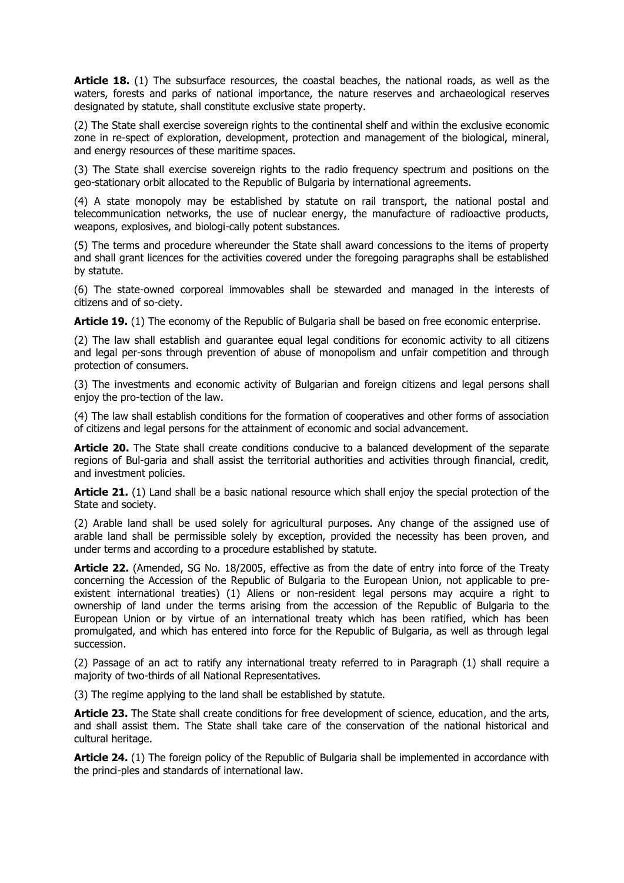Article 18. (1) The subsurface resources, the coastal beaches, the national roads, as well as the waters, forests and parks of national importance, the nature reserves and archaeological reserves designated by statute, shall constitute exclusive state property.

(2) The State shall exercise sovereign rights to the continental shelf and within the exclusive economic zone in re-spect of exploration, development, protection and management of the biological, mineral, and energy resources of these maritime spaces.

(3) The State shall exercise sovereign rights to the radio frequency spectrum and positions on the geo-stationary orbit allocated to the Republic of Bulgaria by international agreements.

(4) A state monopoly may be established by statute on rail transport, the national postal and telecommunication networks, the use of nuclear energy, the manufacture of radioactive products, weapons, explosives, and biologi-cally potent substances.

(5) The terms and procedure whereunder the State shall award concessions to the items of property and shall grant licences for the activities covered under the foregoing paragraphs shall be established by statute.

(6) The state-owned corporeal immovables shall be stewarded and managed in the interests of citizens and of so-ciety.

**Article 19.** (1) The economy of the Republic of Bulgaria shall be based on free economic enterprise.

(2) The law shall establish and guarantee equal legal conditions for economic activity to all citizens and legal per-sons through prevention of abuse of monopolism and unfair competition and through protection of consumers.

(3) The investments and economic activity of Bulgarian and foreign citizens and legal persons shall enjoy the pro-tection of the law.

(4) The law shall establish conditions for the formation of cooperatives and other forms of association of citizens and legal persons for the attainment of economic and social advancement.

**Article 20.** The State shall create conditions conducive to a balanced development of the separate regions of Bul-garia and shall assist the territorial authorities and activities through financial, credit, and investment policies.

**Article 21.** (1) Land shall be a basic national resource which shall enjoy the special protection of the State and society.

(2) Arable land shall be used solely for agricultural purposes. Any change of the assigned use of arable land shall be permissible solely by exception, provided the necessity has been proven, and under terms and according to a procedure established by statute.

**Article 22.** (Amended, SG No. 18/2005, effective as from the date of entry into force of the Treaty concerning the Accession of the Republic of Bulgaria to the European Union, not applicable to preexistent international treaties) (1) Aliens or non-resident legal persons may acquire a right to ownership of land under the terms arising from the accession of the Republic of Bulgaria to the European Union or by virtue of an international treaty which has been ratified, which has been promulgated, and which has entered into force for the Republic of Bulgaria, as well as through legal succession.

(2) Passage of an act to ratify any international treaty referred to in Paragraph (1) shall require a majority of two-thirds of all National Representatives.

(3) The regime applying to the land shall be established by statute.

**Article 23.** The State shall create conditions for free development of science, education, and the arts, and shall assist them. The State shall take care of the conservation of the national historical and cultural heritage.

**Article 24.** (1) The foreign policy of the Republic of Bulgaria shall be implemented in accordance with the princi-ples and standards of international law.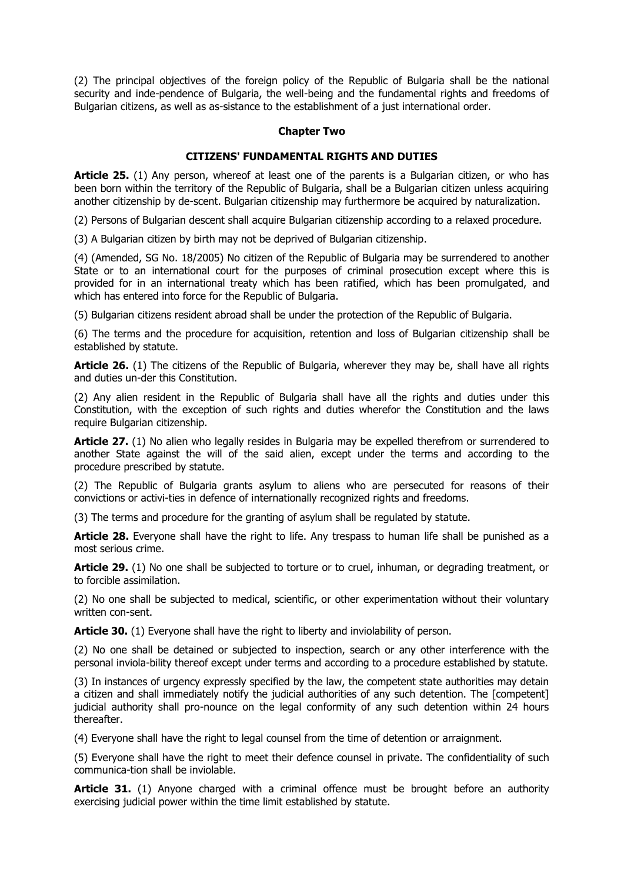(2) The principal objectives of the foreign policy of the Republic of Bulgaria shall be the national security and inde-pendence of Bulgaria, the well-being and the fundamental rights and freedoms of Bulgarian citizens, as well as as-sistance to the establishment of a just international order.

### **Chapter Two**

# **CITIZENS' FUNDAMENTAL RIGHTS AND DUTIES**

**Article 25.** (1) Any person, whereof at least one of the parents is a Bulgarian citizen, or who has been born within the territory of the Republic of Bulgaria, shall be a Bulgarian citizen unless acquiring another citizenship by de-scent. Bulgarian citizenship may furthermore be acquired by naturalization.

(2) Persons of Bulgarian descent shall acquire Bulgarian citizenship according to a relaxed procedure.

(3) A Bulgarian citizen by birth may not be deprived of Bulgarian citizenship.

(4) (Amended, SG No. 18/2005) No citizen of the Republic of Bulgaria may be surrendered to another State or to an international court for the purposes of criminal prosecution except where this is provided for in an international treaty which has been ratified, which has been promulgated, and which has entered into force for the Republic of Bulgaria.

(5) Bulgarian citizens resident abroad shall be under the protection of the Republic of Bulgaria.

(6) The terms and the procedure for acquisition, retention and loss of Bulgarian citizenship shall be established by statute.

**Article 26.** (1) The citizens of the Republic of Bulgaria, wherever they may be, shall have all rights and duties un-der this Constitution.

(2) Any alien resident in the Republic of Bulgaria shall have all the rights and duties under this Constitution, with the exception of such rights and duties wherefor the Constitution and the laws require Bulgarian citizenship.

**Article 27.** (1) No alien who legally resides in Bulgaria may be expelled therefrom or surrendered to another State against the will of the said alien, except under the terms and according to the procedure prescribed by statute.

(2) The Republic of Bulgaria grants asylum to aliens who are persecuted for reasons of their convictions or activi-ties in defence of internationally recognized rights and freedoms.

(3) The terms and procedure for the granting of asylum shall be regulated by statute.

**Article 28.** Everyone shall have the right to life. Any trespass to human life shall be punished as a most serious crime.

**Article 29.** (1) No one shall be subjected to torture or to cruel, inhuman, or degrading treatment, or to forcible assimilation.

(2) No one shall be subjected to medical, scientific, or other experimentation without their voluntary written con-sent.

**Article 30.** (1) Everyone shall have the right to liberty and inviolability of person.

(2) No one shall be detained or subjected to inspection, search or any other interference with the personal inviola-bility thereof except under terms and according to a procedure established by statute.

(3) In instances of urgency expressly specified by the law, the competent state authorities may detain a citizen and shall immediately notify the judicial authorities of any such detention. The [competent] judicial authority shall pro-nounce on the legal conformity of any such detention within 24 hours thereafter.

(4) Everyone shall have the right to legal counsel from the time of detention or arraignment.

(5) Everyone shall have the right to meet their defence counsel in private. The confidentiality of such communica-tion shall be inviolable.

**Article 31.** (1) Anyone charged with a criminal offence must be brought before an authority exercising judicial power within the time limit established by statute.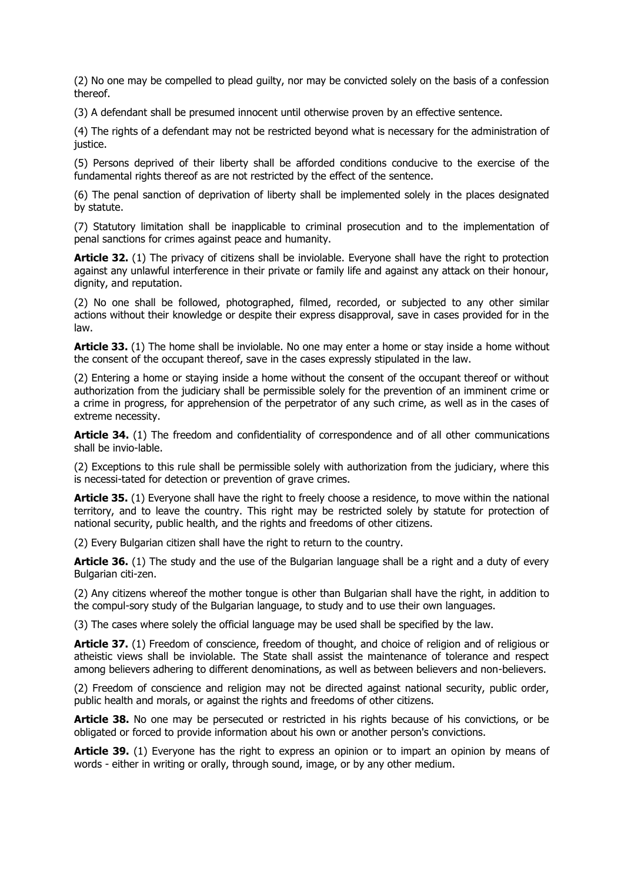(2) No one may be compelled to plead guilty, nor may be convicted solely on the basis of a confession thereof.

(3) A defendant shall be presumed innocent until otherwise proven by an effective sentence.

(4) The rights of a defendant may not be restricted beyond what is necessary for the administration of justice.

(5) Persons deprived of their liberty shall be afforded conditions conducive to the exercise of the fundamental rights thereof as are not restricted by the effect of the sentence.

(6) The penal sanction of deprivation of liberty shall be implemented solely in the places designated by statute.

(7) Statutory limitation shall be inapplicable to criminal prosecution and to the implementation of penal sanctions for crimes against peace and humanity.

Article 32. (1) The privacy of citizens shall be inviolable. Everyone shall have the right to protection against any unlawful interference in their private or family life and against any attack on their honour, dignity, and reputation.

(2) No one shall be followed, photographed, filmed, recorded, or subjected to any other similar actions without their knowledge or despite their express disapproval, save in cases provided for in the law.

**Article 33.** (1) The home shall be inviolable. No one may enter a home or stay inside a home without the consent of the occupant thereof, save in the cases expressly stipulated in the law.

(2) Entering a home or staying inside a home without the consent of the occupant thereof or without authorization from the judiciary shall be permissible solely for the prevention of an imminent crime or a crime in progress, for apprehension of the perpetrator of any such crime, as well as in the cases of extreme necessity.

**Article 34.** (1) The freedom and confidentiality of correspondence and of all other communications shall be invio-lable.

(2) Exceptions to this rule shall be permissible solely with authorization from the judiciary, where this is necessi-tated for detection or prevention of grave crimes.

**Article 35.** (1) Everyone shall have the right to freely choose a residence, to move within the national territory, and to leave the country. This right may be restricted solely by statute for protection of national security, public health, and the rights and freedoms of other citizens.

(2) Every Bulgarian citizen shall have the right to return to the country.

**Article 36.** (1) The study and the use of the Bulgarian language shall be a right and a duty of every Bulgarian citi-zen.

(2) Any citizens whereof the mother tongue is other than Bulgarian shall have the right, in addition to the compul-sory study of the Bulgarian language, to study and to use their own languages.

(3) The cases where solely the official language may be used shall be specified by the law.

**Article 37.** (1) Freedom of conscience, freedom of thought, and choice of religion and of religious or atheistic views shall be inviolable. The State shall assist the maintenance of tolerance and respect among believers adhering to different denominations, as well as between believers and non-believers.

(2) Freedom of conscience and religion may not be directed against national security, public order, public health and morals, or against the rights and freedoms of other citizens.

**Article 38.** No one may be persecuted or restricted in his rights because of his convictions, or be obligated or forced to provide information about his own or another person's convictions.

**Article 39.** (1) Everyone has the right to express an opinion or to impart an opinion by means of words - either in writing or orally, through sound, image, or by any other medium.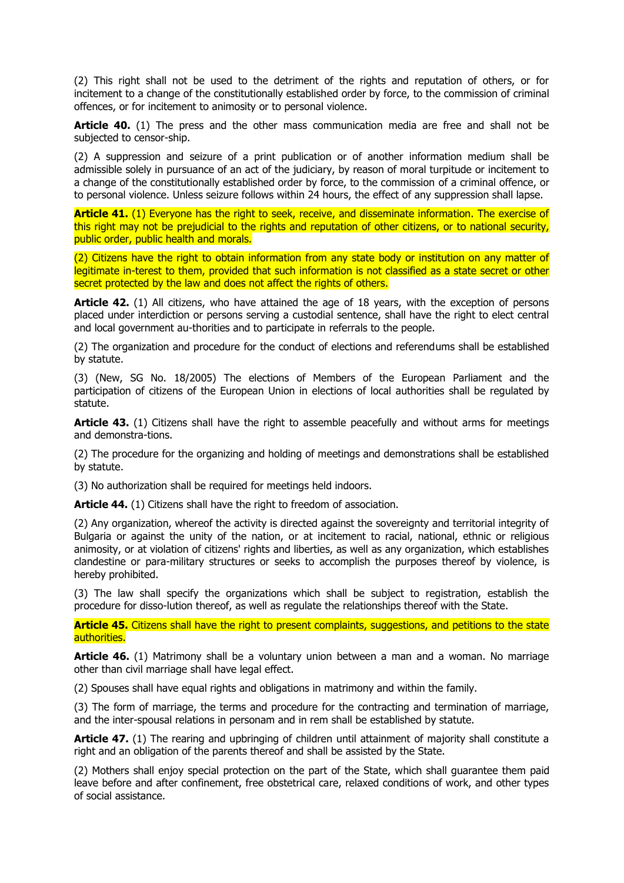(2) This right shall not be used to the detriment of the rights and reputation of others, or for incitement to a change of the constitutionally established order by force, to the commission of criminal offences, or for incitement to animosity or to personal violence.

**Article 40.** (1) The press and the other mass communication media are free and shall not be subjected to censor-ship.

(2) A suppression and seizure of a print publication or of another information medium shall be admissible solely in pursuance of an act of the judiciary, by reason of moral turpitude or incitement to a change of the constitutionally established order by force, to the commission of a criminal offence, or to personal violence. Unless seizure follows within 24 hours, the effect of any suppression shall lapse.

**Article 41.** (1) Everyone has the right to seek, receive, and disseminate information. The exercise of this right may not be prejudicial to the rights and reputation of other citizens, or to national security, public order, public health and morals.

(2) Citizens have the right to obtain information from any state body or institution on any matter of legitimate in-terest to them, provided that such information is not classified as a state secret or other secret protected by the law and does not affect the rights of others.

**Article 42.** (1) All citizens, who have attained the age of 18 years, with the exception of persons placed under interdiction or persons serving a custodial sentence, shall have the right to elect central and local government au-thorities and to participate in referrals to the people.

(2) The organization and procedure for the conduct of elections and referendums shall be established by statute.

(3) (New, SG No. 18/2005) The elections of Members of the European Parliament and the participation of citizens of the European Union in elections of local authorities shall be regulated by statute.

**Article 43.** (1) Citizens shall have the right to assemble peacefully and without arms for meetings and demonstra-tions.

(2) The procedure for the organizing and holding of meetings and demonstrations shall be established by statute.

(3) No authorization shall be required for meetings held indoors.

**Article 44.** (1) Citizens shall have the right to freedom of association.

(2) Any organization, whereof the activity is directed against the sovereignty and territorial integrity of Bulgaria or against the unity of the nation, or at incitement to racial, national, ethnic or religious animosity, or at violation of citizens' rights and liberties, as well as any organization, which establishes clandestine or para-military structures or seeks to accomplish the purposes thereof by violence, is hereby prohibited.

(3) The law shall specify the organizations which shall be subject to registration, establish the procedure for disso-lution thereof, as well as regulate the relationships thereof with the State.

Article 45. Citizens shall have the right to present complaints, suggestions, and petitions to the state authorities.

**Article 46.** (1) Matrimony shall be a voluntary union between a man and a woman. No marriage other than civil marriage shall have legal effect.

(2) Spouses shall have equal rights and obligations in matrimony and within the family.

(3) The form of marriage, the terms and procedure for the contracting and termination of marriage, and the inter-spousal relations in personam and in rem shall be established by statute.

**Article 47.** (1) The rearing and upbringing of children until attainment of majority shall constitute a right and an obligation of the parents thereof and shall be assisted by the State.

(2) Mothers shall enjoy special protection on the part of the State, which shall guarantee them paid leave before and after confinement, free obstetrical care, relaxed conditions of work, and other types of social assistance.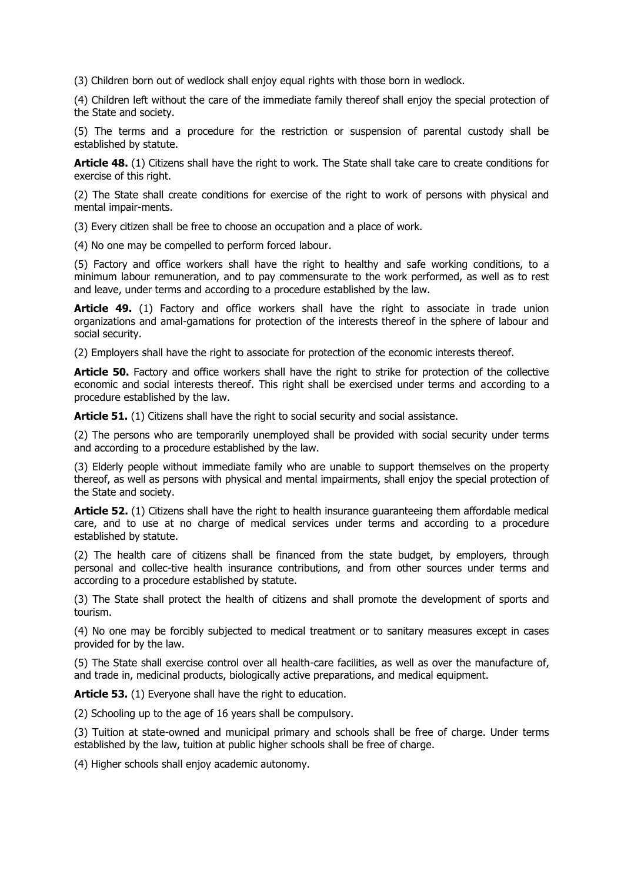(3) Children born out of wedlock shall enjoy equal rights with those born in wedlock.

(4) Children left without the care of the immediate family thereof shall enjoy the special protection of the State and society.

(5) The terms and a procedure for the restriction or suspension of parental custody shall be established by statute.

**Article 48.** (1) Citizens shall have the right to work. The State shall take care to create conditions for exercise of this right.

(2) The State shall create conditions for exercise of the right to work of persons with physical and mental impair-ments.

(3) Every citizen shall be free to choose an occupation and a place of work.

(4) No one may be compelled to perform forced labour.

(5) Factory and office workers shall have the right to healthy and safe working conditions, to a minimum labour remuneration, and to pay commensurate to the work performed, as well as to rest and leave, under terms and according to a procedure established by the law.

**Article 49.** (1) Factory and office workers shall have the right to associate in trade union organizations and amal-gamations for protection of the interests thereof in the sphere of labour and social security.

(2) Employers shall have the right to associate for protection of the economic interests thereof.

Article 50. Factory and office workers shall have the right to strike for protection of the collective economic and social interests thereof. This right shall be exercised under terms and according to a procedure established by the law.

Article 51. (1) Citizens shall have the right to social security and social assistance.

(2) The persons who are temporarily unemployed shall be provided with social security under terms and according to a procedure established by the law.

(3) Elderly people without immediate family who are unable to support themselves on the property thereof, as well as persons with physical and mental impairments, shall enjoy the special protection of the State and society.

**Article 52.** (1) Citizens shall have the right to health insurance guaranteeing them affordable medical care, and to use at no charge of medical services under terms and according to a procedure established by statute.

(2) The health care of citizens shall be financed from the state budget, by employers, through personal and collec-tive health insurance contributions, and from other sources under terms and according to a procedure established by statute.

(3) The State shall protect the health of citizens and shall promote the development of sports and tourism.

(4) No one may be forcibly subjected to medical treatment or to sanitary measures except in cases provided for by the law.

(5) The State shall exercise control over all health-care facilities, as well as over the manufacture of, and trade in, medicinal products, biologically active preparations, and medical equipment.

**Article 53.** (1) Everyone shall have the right to education.

(2) Schooling up to the age of 16 years shall be compulsory.

(3) Tuition at state-owned and municipal primary and schools shall be free of charge. Under terms established by the law, tuition at public higher schools shall be free of charge.

(4) Higher schools shall enjoy academic autonomy.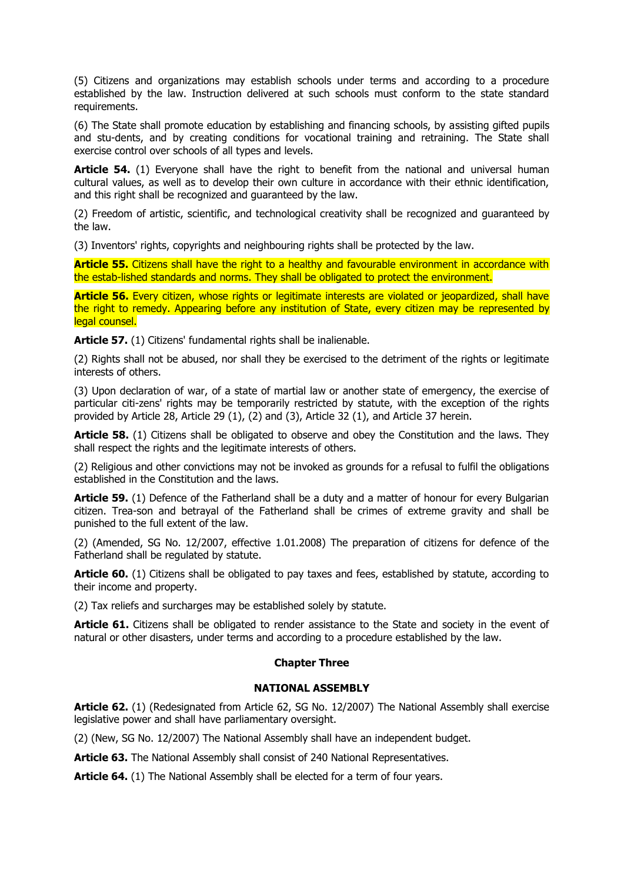(5) Citizens and organizations may establish schools under terms and according to a procedure established by the law. Instruction delivered at such schools must conform to the state standard requirements.

(6) The State shall promote education by establishing and financing schools, by assisting gifted pupils and stu-dents, and by creating conditions for vocational training and retraining. The State shall exercise control over schools of all types and levels.

**Article 54.** (1) Everyone shall have the right to benefit from the national and universal human cultural values, as well as to develop their own culture in accordance with their ethnic identification, and this right shall be recognized and guaranteed by the law.

(2) Freedom of artistic, scientific, and technological creativity shall be recognized and guaranteed by the law.

(3) Inventors' rights, copyrights and neighbouring rights shall be protected by the law.

**Article 55.** Citizens shall have the right to a healthy and favourable environment in accordance with the estab-lished standards and norms. They shall be obligated to protect the environment.

**Article 56.** Every citizen, whose rights or legitimate interests are violated or jeopardized, shall have the right to remedy. Appearing before any institution of State, every citizen may be represented by legal counsel.

**Article 57.** (1) Citizens' fundamental rights shall be inalienable.

(2) Rights shall not be abused, nor shall they be exercised to the detriment of the rights or legitimate interests of others.

(3) Upon declaration of war, of a state of martial law or another state of emergency, the exercise of particular citi-zens' rights may be temporarily restricted by statute, with the exception of the rights provided by Article 28, Article 29 (1), (2) and (3), Article 32 (1), and Article 37 herein.

**Article 58.** (1) Citizens shall be obligated to observe and obey the Constitution and the laws. They shall respect the rights and the legitimate interests of others.

(2) Religious and other convictions may not be invoked as grounds for a refusal to fulfil the obligations established in the Constitution and the laws.

**Article 59.** (1) Defence of the Fatherland shall be a duty and a matter of honour for every Bulgarian citizen. Trea-son and betrayal of the Fatherland shall be crimes of extreme gravity and shall be punished to the full extent of the law.

(2) (Amended, SG No. 12/2007, effective 1.01.2008) The preparation of citizens for defence of the Fatherland shall be regulated by statute.

**Article 60.** (1) Citizens shall be obligated to pay taxes and fees, established by statute, according to their income and property.

(2) Tax reliefs and surcharges may be established solely by statute.

**Article 61.** Citizens shall be obligated to render assistance to the State and society in the event of natural or other disasters, under terms and according to a procedure established by the law.

# **Chapter Three**

# **NATIONAL ASSEMBLY**

**Article 62.** (1) (Redesignated from Article 62, SG No. 12/2007) The National Assembly shall exercise legislative power and shall have parliamentary oversight.

(2) (New, SG No. 12/2007) The National Assembly shall have an independent budget.

**Article 63.** The National Assembly shall consist of 240 National Representatives.

**Article 64.** (1) The National Assembly shall be elected for a term of four years.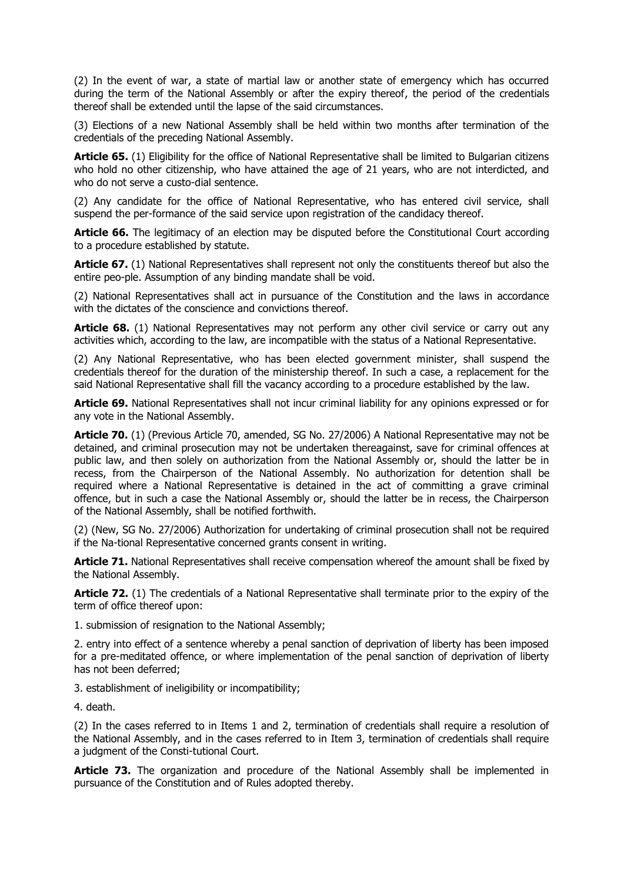(2) In the event of war, a state of martial law or another state of emergency which has occurred during the term of the National Assembly or after the expiry thereof, the period of the credentials thereof shall be extended until the lapse of the said circumstances.

(3) Elections of a new National Assembly shall be held within two months after termination of the credentials of the preceding National Assembly.

**Article 65.** (1) Eligibility for the office of National Representative shall be limited to Bulgarian citizens who hold no other citizenship, who have attained the age of 21 years, who are not interdicted, and who do not serve a custo-dial sentence.

(2) Any candidate for the office of National Representative, who has entered civil service, shall suspend the per-formance of the said service upon registration of the candidacy thereof.

**Article 66.** The legitimacy of an election may be disputed before the Constitutional Court according to a procedure established by statute.

**Article 67.** (1) National Representatives shall represent not only the constituents thereof but also the entire peo-ple. Assumption of any binding mandate shall be void.

(2) National Representatives shall act in pursuance of the Constitution and the laws in accordance with the dictates of the conscience and convictions thereof.

**Article 68.** (1) National Representatives may not perform any other civil service or carry out any activities which, according to the law, are incompatible with the status of a National Representative.

(2) Any National Representative, who has been elected government minister, shall suspend the credentials thereof for the duration of the ministership thereof. In such a case, a replacement for the said National Representative shall fill the vacancy according to a procedure established by the law.

**Article 69.** National Representatives shall not incur criminal liability for any opinions expressed or for any vote in the National Assembly.

**Article 70.** (1) (Previous Article 70, amended, SG No. 27/2006) A National Representative may not be detained, and criminal prosecution may not be undertaken thereagainst, save for criminal offences at public law, and then solely on authorization from the National Assembly or, should the latter be in recess, from the Chairperson of the National Assembly. No authorization for detention shall be required where a National Representative is detained in the act of committing a grave criminal offence, but in such a case the National Assembly or, should the latter be in recess, the Chairperson of the National Assembly, shall be notified forthwith.

(2) (New, SG No. 27/2006) Authorization for undertaking of criminal prosecution shall not be required if the Na-tional Representative concerned grants consent in writing.

**Article 71.** National Representatives shall receive compensation whereof the amount shall be fixed by the National Assembly.

**Article 72.** (1) The credentials of a National Representative shall terminate prior to the expiry of the term of office thereof upon:

1. submission of resignation to the National Assembly;

2. entry into effect of a sentence whereby a penal sanction of deprivation of liberty has been imposed for a pre-meditated offence, or where implementation of the penal sanction of deprivation of liberty has not been deferred;

3. establishment of ineligibility or incompatibility;

4. death.

(2) In the cases referred to in Items 1 and 2, termination of credentials shall require a resolution of the National Assembly, and in the cases referred to in Item 3, termination of credentials shall require a judgment of the Consti-tutional Court.

**Article 73.** The organization and procedure of the National Assembly shall be implemented in pursuance of the Constitution and of Rules adopted thereby.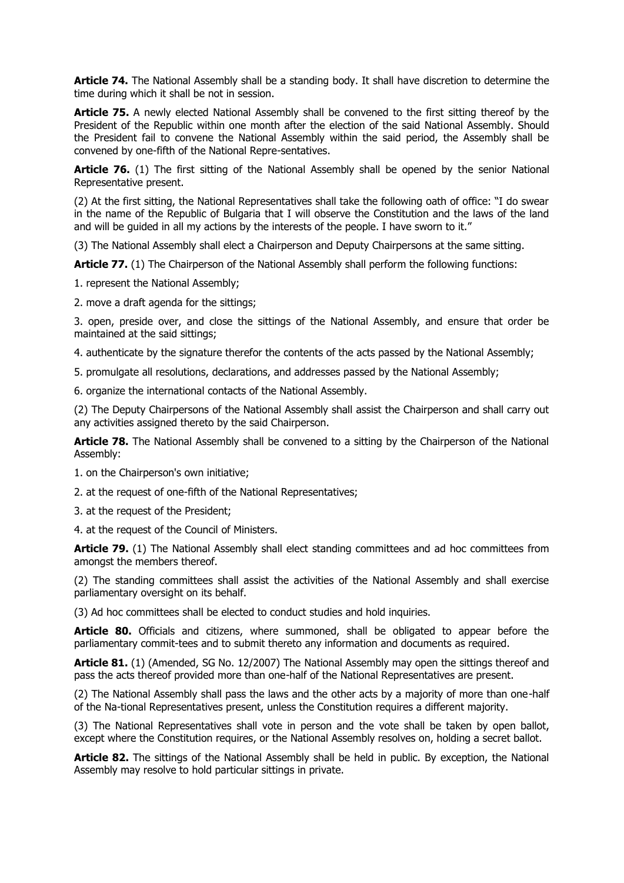**Article 74.** The National Assembly shall be a standing body. It shall have discretion to determine the time during which it shall be not in session.

**Article 75.** A newly elected National Assembly shall be convened to the first sitting thereof by the President of the Republic within one month after the election of the said National Assembly. Should the President fail to convene the National Assembly within the said period, the Assembly shall be convened by one-fifth of the National Repre-sentatives.

Article 76. (1) The first sitting of the National Assembly shall be opened by the senior National Representative present.

(2) At the first sitting, the National Representatives shall take the following oath of office: "I do swear in the name of the Republic of Bulgaria that I will observe the Constitution and the laws of the land and will be guided in all my actions by the interests of the people. I have sworn to it."

(3) The National Assembly shall elect a Chairperson and Deputy Chairpersons at the same sitting.

**Article 77.** (1) The Chairperson of the National Assembly shall perform the following functions:

1. represent the National Assembly;

2. move a draft agenda for the sittings;

3. open, preside over, and close the sittings of the National Assembly, and ensure that order be maintained at the said sittings;

4. authenticate by the signature therefor the contents of the acts passed by the National Assembly;

5. promulgate all resolutions, declarations, and addresses passed by the National Assembly;

6. organize the international contacts of the National Assembly.

(2) The Deputy Chairpersons of the National Assembly shall assist the Chairperson and shall carry out any activities assigned thereto by the said Chairperson.

**Article 78.** The National Assembly shall be convened to a sitting by the Chairperson of the National Assembly:

1. on the Chairperson's own initiative;

2. at the request of one-fifth of the National Representatives;

3. at the request of the President;

4. at the request of the Council of Ministers.

**Article 79.** (1) The National Assembly shall elect standing committees and ad hoc committees from amongst the members thereof.

(2) The standing committees shall assist the activities of the National Assembly and shall exercise parliamentary oversight on its behalf.

(3) Ad hoc committees shall be elected to conduct studies and hold inquiries.

Article 80. Officials and citizens, where summoned, shall be obligated to appear before the parliamentary commit-tees and to submit thereto any information and documents as required.

**Article 81.** (1) (Amended, SG No. 12/2007) The National Assembly may open the sittings thereof and pass the acts thereof provided more than one-half of the National Representatives are present.

(2) The National Assembly shall pass the laws and the other acts by a majority of more than one-half of the Na-tional Representatives present, unless the Constitution requires a different majority.

(3) The National Representatives shall vote in person and the vote shall be taken by open ballot, except where the Constitution requires, or the National Assembly resolves on, holding a secret ballot.

**Article 82.** The sittings of the National Assembly shall be held in public. By exception, the National Assembly may resolve to hold particular sittings in private.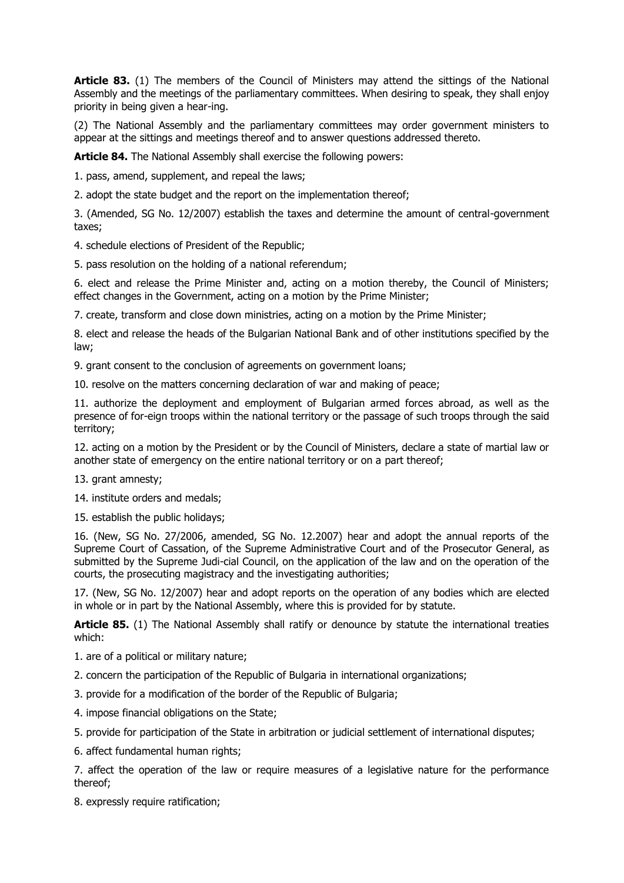**Article 83.** (1) The members of the Council of Ministers may attend the sittings of the National Assembly and the meetings of the parliamentary committees. When desiring to speak, they shall enjoy priority in being given a hear-ing.

(2) The National Assembly and the parliamentary committees may order government ministers to appear at the sittings and meetings thereof and to answer questions addressed thereto.

**Article 84.** The National Assembly shall exercise the following powers:

1. pass, amend, supplement, and repeal the laws;

2. adopt the state budget and the report on the implementation thereof;

3. (Amended, SG No. 12/2007) establish the taxes and determine the amount of central-government taxes;

4. schedule elections of President of the Republic;

5. pass resolution on the holding of a national referendum;

6. elect and release the Prime Minister and, acting on a motion thereby, the Council of Ministers; effect changes in the Government, acting on a motion by the Prime Minister;

7. create, transform and close down ministries, acting on a motion by the Prime Minister;

8. elect and release the heads of the Bulgarian National Bank and of other institutions specified by the law;

9. grant consent to the conclusion of agreements on government loans;

10. resolve on the matters concerning declaration of war and making of peace;

11. authorize the deployment and employment of Bulgarian armed forces abroad, as well as the presence of for-eign troops within the national territory or the passage of such troops through the said territory;

12. acting on a motion by the President or by the Council of Ministers, declare a state of martial law or another state of emergency on the entire national territory or on a part thereof;

13. grant amnesty;

14. institute orders and medals;

15. establish the public holidays;

16. (New, SG No. 27/2006, amended, SG No. 12.2007) hear and adopt the annual reports of the Supreme Court of Cassation, of the Supreme Administrative Court and of the Prosecutor General, as submitted by the Supreme Judi-cial Council, on the application of the law and on the operation of the courts, the prosecuting magistracy and the investigating authorities;

17. (New, SG No. 12/2007) hear and adopt reports on the operation of any bodies which are elected in whole or in part by the National Assembly, where this is provided for by statute.

Article 85. (1) The National Assembly shall ratify or denounce by statute the international treaties which:

1. are of a political or military nature;

- 2. concern the participation of the Republic of Bulgaria in international organizations;
- 3. provide for a modification of the border of the Republic of Bulgaria;
- 4. impose financial obligations on the State;
- 5. provide for participation of the State in arbitration or judicial settlement of international disputes;
- 6. affect fundamental human rights;

7. affect the operation of the law or require measures of a legislative nature for the performance thereof;

8. expressly require ratification;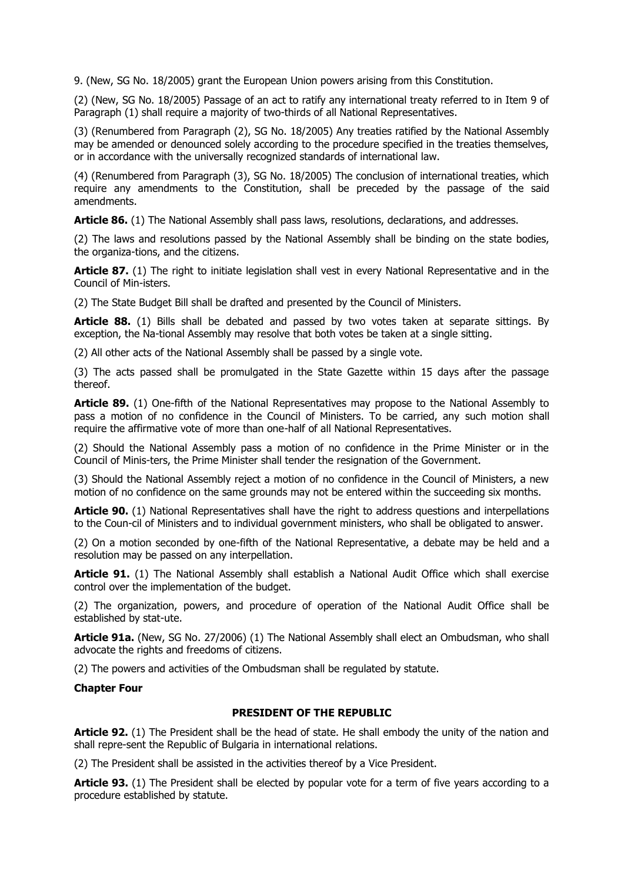9. (New, SG No. 18/2005) grant the European Union powers arising from this Constitution.

(2) (New, SG No. 18/2005) Passage of an act to ratify any international treaty referred to in Item 9 of Paragraph (1) shall require a majority of two-thirds of all National Representatives.

(3) (Renumbered from Paragraph (2), SG No. 18/2005) Any treaties ratified by the National Assembly may be amended or denounced solely according to the procedure specified in the treaties themselves, or in accordance with the universally recognized standards of international law.

(4) (Renumbered from Paragraph (3), SG No. 18/2005) The conclusion of international treaties, which require any amendments to the Constitution, shall be preceded by the passage of the said amendments.

**Article 86.** (1) The National Assembly shall pass laws, resolutions, declarations, and addresses.

(2) The laws and resolutions passed by the National Assembly shall be binding on the state bodies, the organiza-tions, and the citizens.

**Article 87.** (1) The right to initiate legislation shall vest in every National Representative and in the Council of Min-isters.

(2) The State Budget Bill shall be drafted and presented by the Council of Ministers.

**Article 88.** (1) Bills shall be debated and passed by two votes taken at separate sittings. By exception, the Na-tional Assembly may resolve that both votes be taken at a single sitting.

(2) All other acts of the National Assembly shall be passed by a single vote.

(3) The acts passed shall be promulgated in the State Gazette within 15 days after the passage thereof.

Article 89. (1) One-fifth of the National Representatives may propose to the National Assembly to pass a motion of no confidence in the Council of Ministers. To be carried, any such motion shall require the affirmative vote of more than one-half of all National Representatives.

(2) Should the National Assembly pass a motion of no confidence in the Prime Minister or in the Council of Minis-ters, the Prime Minister shall tender the resignation of the Government.

(3) Should the National Assembly reject a motion of no confidence in the Council of Ministers, a new motion of no confidence on the same grounds may not be entered within the succeeding six months.

**Article 90.** (1) National Representatives shall have the right to address questions and interpellations to the Coun-cil of Ministers and to individual government ministers, who shall be obligated to answer.

(2) On a motion seconded by one-fifth of the National Representative, a debate may be held and a resolution may be passed on any interpellation.

**Article 91.** (1) The National Assembly shall establish a National Audit Office which shall exercise control over the implementation of the budget.

(2) The organization, powers, and procedure of operation of the National Audit Office shall be established by stat-ute.

**Article 91a.** (New, SG No. 27/2006) (1) The National Assembly shall elect an Ombudsman, who shall advocate the rights and freedoms of citizens.

(2) The powers and activities of the Ombudsman shall be regulated by statute.

# **Chapter Four**

# **PRESIDENT OF THE REPUBLIC**

**Article 92.** (1) The President shall be the head of state. He shall embody the unity of the nation and shall repre-sent the Republic of Bulgaria in international relations.

(2) The President shall be assisted in the activities thereof by a Vice President.

**Article 93.** (1) The President shall be elected by popular vote for a term of five years according to a procedure established by statute.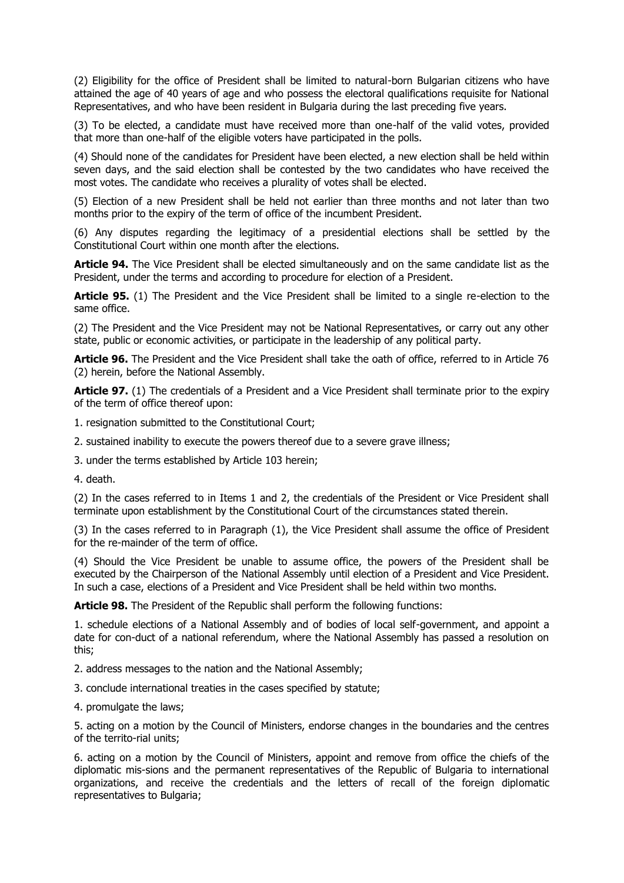(2) Eligibility for the office of President shall be limited to natural-born Bulgarian citizens who have attained the age of 40 years of age and who possess the electoral qualifications requisite for National Representatives, and who have been resident in Bulgaria during the last preceding five years.

(3) To be elected, a candidate must have received more than one-half of the valid votes, provided that more than one-half of the eligible voters have participated in the polls.

(4) Should none of the candidates for President have been elected, a new election shall be held within seven days, and the said election shall be contested by the two candidates who have received the most votes. The candidate who receives a plurality of votes shall be elected.

(5) Election of a new President shall be held not earlier than three months and not later than two months prior to the expiry of the term of office of the incumbent President.

(6) Any disputes regarding the legitimacy of a presidential elections shall be settled by the Constitutional Court within one month after the elections.

**Article 94.** The Vice President shall be elected simultaneously and on the same candidate list as the President, under the terms and according to procedure for election of a President.

**Article 95.** (1) The President and the Vice President shall be limited to a single re-election to the same office.

(2) The President and the Vice President may not be National Representatives, or carry out any other state, public or economic activities, or participate in the leadership of any political party.

**Article 96.** The President and the Vice President shall take the oath of office, referred to in Article 76 (2) herein, before the National Assembly.

**Article 97.** (1) The credentials of a President and a Vice President shall terminate prior to the expiry of the term of office thereof upon:

1. resignation submitted to the Constitutional Court;

2. sustained inability to execute the powers thereof due to a severe grave illness;

3. under the terms established by Article 103 herein;

4. death.

(2) In the cases referred to in Items 1 and 2, the credentials of the President or Vice President shall terminate upon establishment by the Constitutional Court of the circumstances stated therein.

(3) In the cases referred to in Paragraph (1), the Vice President shall assume the office of President for the re-mainder of the term of office.

(4) Should the Vice President be unable to assume office, the powers of the President shall be executed by the Chairperson of the National Assembly until election of a President and Vice President. In such a case, elections of a President and Vice President shall be held within two months.

**Article 98.** The President of the Republic shall perform the following functions:

1. schedule elections of a National Assembly and of bodies of local self-government, and appoint a date for con-duct of a national referendum, where the National Assembly has passed a resolution on this;

2. address messages to the nation and the National Assembly;

3. conclude international treaties in the cases specified by statute;

4. promulgate the laws;

5. acting on a motion by the Council of Ministers, endorse changes in the boundaries and the centres of the territo-rial units;

6. acting on a motion by the Council of Ministers, appoint and remove from office the chiefs of the diplomatic mis-sions and the permanent representatives of the Republic of Bulgaria to international organizations, and receive the credentials and the letters of recall of the foreign diplomatic representatives to Bulgaria;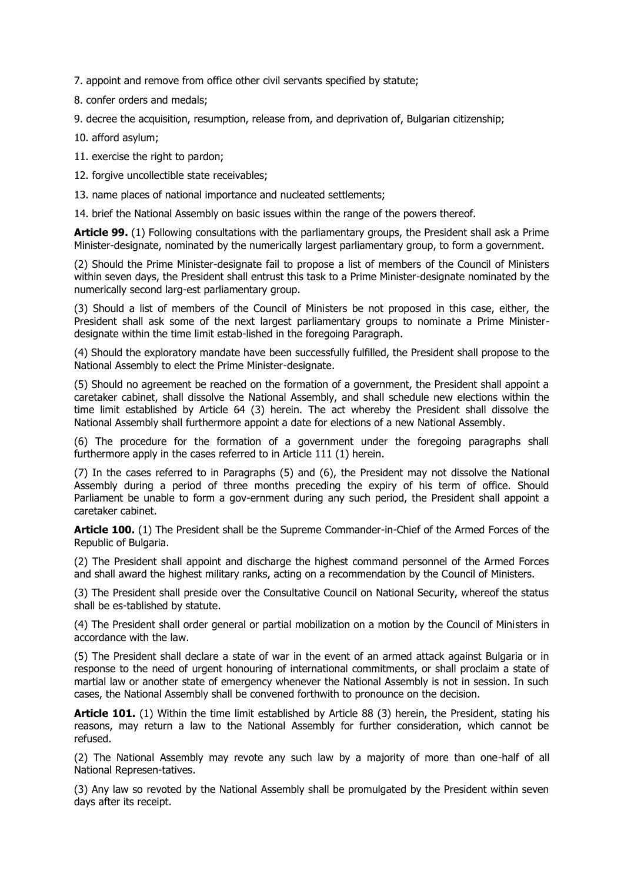7. appoint and remove from office other civil servants specified by statute;

8. confer orders and medals;

9. decree the acquisition, resumption, release from, and deprivation of, Bulgarian citizenship;

10. afford asylum;

11. exercise the right to pardon;

12. forgive uncollectible state receivables;

13. name places of national importance and nucleated settlements;

14. brief the National Assembly on basic issues within the range of the powers thereof.

**Article 99.** (1) Following consultations with the parliamentary groups, the President shall ask a Prime Minister-designate, nominated by the numerically largest parliamentary group, to form a government.

(2) Should the Prime Minister-designate fail to propose a list of members of the Council of Ministers within seven days, the President shall entrust this task to a Prime Minister-designate nominated by the numerically second larg-est parliamentary group.

(3) Should a list of members of the Council of Ministers be not proposed in this case, either, the President shall ask some of the next largest parliamentary groups to nominate a Prime Ministerdesignate within the time limit estab-lished in the foregoing Paragraph.

(4) Should the exploratory mandate have been successfully fulfilled, the President shall propose to the National Assembly to elect the Prime Minister-designate.

(5) Should no agreement be reached on the formation of a government, the President shall appoint a caretaker cabinet, shall dissolve the National Assembly, and shall schedule new elections within the time limit established by Article 64 (3) herein. The act whereby the President shall dissolve the National Assembly shall furthermore appoint a date for elections of a new National Assembly.

(6) The procedure for the formation of a government under the foregoing paragraphs shall furthermore apply in the cases referred to in Article 111 (1) herein.

(7) In the cases referred to in Paragraphs (5) and (6), the President may not dissolve the National Assembly during a period of three months preceding the expiry of his term of office. Should Parliament be unable to form a gov-ernment during any such period, the President shall appoint a caretaker cabinet.

**Article 100.** (1) The President shall be the Supreme Commander-in-Chief of the Armed Forces of the Republic of Bulgaria.

(2) The President shall appoint and discharge the highest command personnel of the Armed Forces and shall award the highest military ranks, acting on a recommendation by the Council of Ministers.

(3) The President shall preside over the Consultative Council on National Security, whereof the status shall be es-tablished by statute.

(4) The President shall order general or partial mobilization on a motion by the Council of Ministers in accordance with the law.

(5) The President shall declare a state of war in the event of an armed attack against Bulgaria or in response to the need of urgent honouring of international commitments, or shall proclaim a state of martial law or another state of emergency whenever the National Assembly is not in session. In such cases, the National Assembly shall be convened forthwith to pronounce on the decision.

**Article 101.** (1) Within the time limit established by Article 88 (3) herein, the President, stating his reasons, may return a law to the National Assembly for further consideration, which cannot be refused.

(2) The National Assembly may revote any such law by a majority of more than one-half of all National Represen-tatives.

(3) Any law so revoted by the National Assembly shall be promulgated by the President within seven days after its receipt.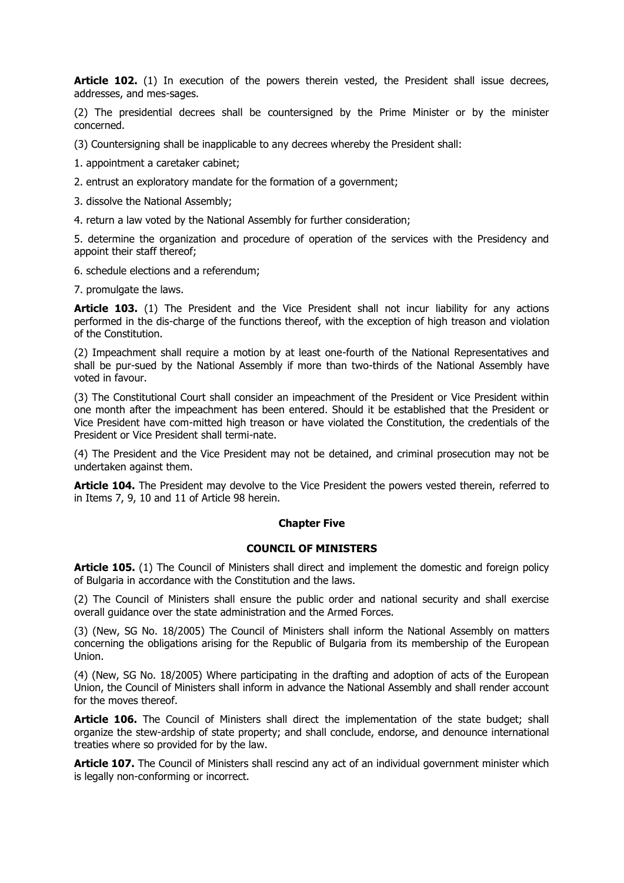Article 102. (1) In execution of the powers therein vested, the President shall issue decrees, addresses, and mes-sages.

(2) The presidential decrees shall be countersigned by the Prime Minister or by the minister concerned.

(3) Countersigning shall be inapplicable to any decrees whereby the President shall:

1. appointment a caretaker cabinet;

2. entrust an exploratory mandate for the formation of a government;

3. dissolve the National Assembly;

4. return a law voted by the National Assembly for further consideration;

5. determine the organization and procedure of operation of the services with the Presidency and appoint their staff thereof;

6. schedule elections and a referendum;

7. promulgate the laws.

**Article 103.** (1) The President and the Vice President shall not incur liability for any actions performed in the dis-charge of the functions thereof, with the exception of high treason and violation of the Constitution.

(2) Impeachment shall require a motion by at least one-fourth of the National Representatives and shall be pur-sued by the National Assembly if more than two-thirds of the National Assembly have voted in favour.

(3) The Constitutional Court shall consider an impeachment of the President or Vice President within one month after the impeachment has been entered. Should it be established that the President or Vice President have com-mitted high treason or have violated the Constitution, the credentials of the President or Vice President shall termi-nate.

(4) The President and the Vice President may not be detained, and criminal prosecution may not be undertaken against them.

**Article 104.** The President may devolve to the Vice President the powers vested therein, referred to in Items 7, 9, 10 and 11 of Article 98 herein.

# **Chapter Five**

### **COUNCIL OF MINISTERS**

**Article 105.** (1) The Council of Ministers shall direct and implement the domestic and foreign policy of Bulgaria in accordance with the Constitution and the laws.

(2) The Council of Ministers shall ensure the public order and national security and shall exercise overall guidance over the state administration and the Armed Forces.

(3) (New, SG No. 18/2005) The Council of Ministers shall inform the National Assembly on matters concerning the obligations arising for the Republic of Bulgaria from its membership of the European Union.

(4) (New, SG No. 18/2005) Where participating in the drafting and adoption of acts of the European Union, the Council of Ministers shall inform in advance the National Assembly and shall render account for the moves thereof.

Article 106. The Council of Ministers shall direct the implementation of the state budget; shall organize the stew-ardship of state property; and shall conclude, endorse, and denounce international treaties where so provided for by the law.

**Article 107.** The Council of Ministers shall rescind any act of an individual government minister which is legally non-conforming or incorrect.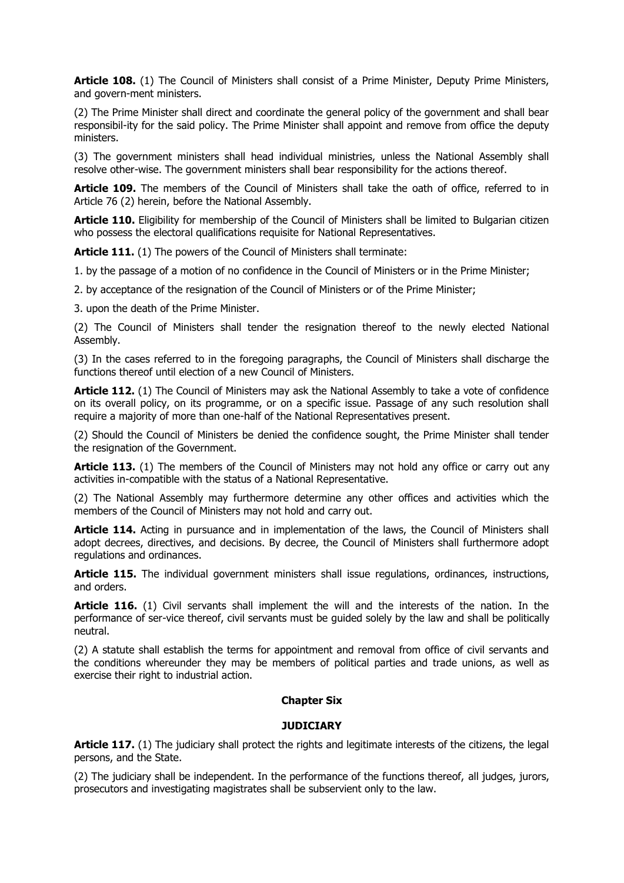**Article 108.** (1) The Council of Ministers shall consist of a Prime Minister, Deputy Prime Ministers, and govern-ment ministers.

(2) The Prime Minister shall direct and coordinate the general policy of the government and shall bear responsibil-ity for the said policy. The Prime Minister shall appoint and remove from office the deputy ministers.

(3) The government ministers shall head individual ministries, unless the National Assembly shall resolve other-wise. The government ministers shall bear responsibility for the actions thereof.

Article 109. The members of the Council of Ministers shall take the oath of office, referred to in Article 76 (2) herein, before the National Assembly.

**Article 110.** Eligibility for membership of the Council of Ministers shall be limited to Bulgarian citizen who possess the electoral qualifications requisite for National Representatives.

**Article 111.** (1) The powers of the Council of Ministers shall terminate:

1. by the passage of a motion of no confidence in the Council of Ministers or in the Prime Minister;

2. by acceptance of the resignation of the Council of Ministers or of the Prime Minister;

3. upon the death of the Prime Minister.

(2) The Council of Ministers shall tender the resignation thereof to the newly elected National Assembly.

(3) In the cases referred to in the foregoing paragraphs, the Council of Ministers shall discharge the functions thereof until election of a new Council of Ministers.

**Article 112.** (1) The Council of Ministers may ask the National Assembly to take a vote of confidence on its overall policy, on its programme, or on a specific issue. Passage of any such resolution shall require a majority of more than one-half of the National Representatives present.

(2) Should the Council of Ministers be denied the confidence sought, the Prime Minister shall tender the resignation of the Government.

**Article 113.** (1) The members of the Council of Ministers may not hold any office or carry out any activities in-compatible with the status of a National Representative.

(2) The National Assembly may furthermore determine any other offices and activities which the members of the Council of Ministers may not hold and carry out.

**Article 114.** Acting in pursuance and in implementation of the laws, the Council of Ministers shall adopt decrees, directives, and decisions. By decree, the Council of Ministers shall furthermore adopt regulations and ordinances.

**Article 115.** The individual government ministers shall issue regulations, ordinances, instructions, and orders.

**Article 116.** (1) Civil servants shall implement the will and the interests of the nation. In the performance of ser-vice thereof, civil servants must be guided solely by the law and shall be politically neutral.

(2) A statute shall establish the terms for appointment and removal from office of civil servants and the conditions whereunder they may be members of political parties and trade unions, as well as exercise their right to industrial action.

# **Chapter Six**

#### **JUDICIARY**

**Article 117.** (1) The judiciary shall protect the rights and legitimate interests of the citizens, the legal persons, and the State.

(2) The judiciary shall be independent. In the performance of the functions thereof, all judges, jurors, prosecutors and investigating magistrates shall be subservient only to the law.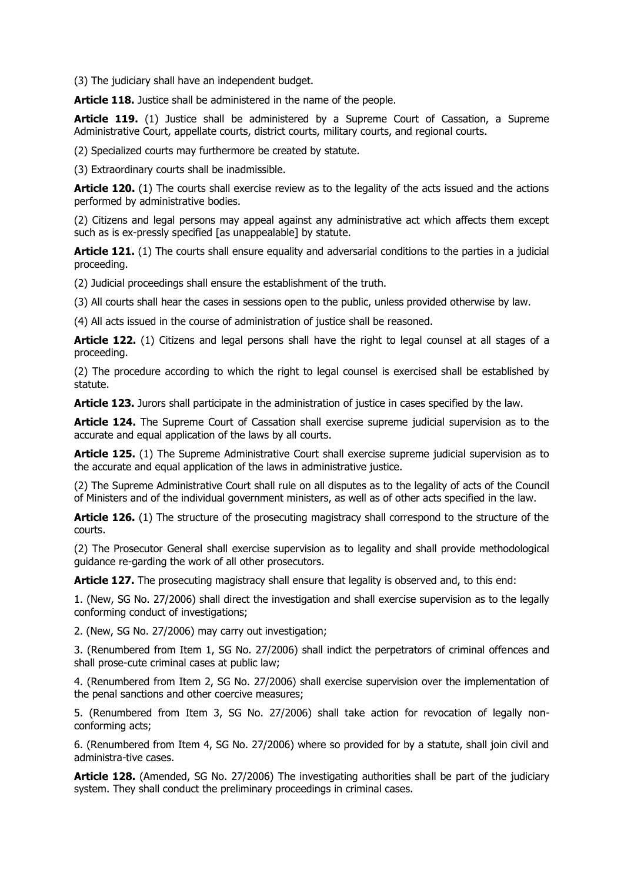(3) The judiciary shall have an independent budget.

**Article 118.** Justice shall be administered in the name of the people.

**Article 119.** (1) Justice shall be administered by a Supreme Court of Cassation, a Supreme Administrative Court, appellate courts, district courts, military courts, and regional courts.

(2) Specialized courts may furthermore be created by statute.

(3) Extraordinary courts shall be inadmissible.

**Article 120.** (1) The courts shall exercise review as to the legality of the acts issued and the actions performed by administrative bodies.

(2) Citizens and legal persons may appeal against any administrative act which affects them except such as is ex-pressly specified [as unappealable] by statute.

**Article 121.** (1) The courts shall ensure equality and adversarial conditions to the parties in a judicial proceeding.

(2) Judicial proceedings shall ensure the establishment of the truth.

(3) All courts shall hear the cases in sessions open to the public, unless provided otherwise by law.

(4) All acts issued in the course of administration of justice shall be reasoned.

**Article 122.** (1) Citizens and legal persons shall have the right to legal counsel at all stages of a proceeding.

(2) The procedure according to which the right to legal counsel is exercised shall be established by statute.

**Article 123.** Jurors shall participate in the administration of justice in cases specified by the law.

**Article 124.** The Supreme Court of Cassation shall exercise supreme judicial supervision as to the accurate and equal application of the laws by all courts.

Article 125. (1) The Supreme Administrative Court shall exercise supreme judicial supervision as to the accurate and equal application of the laws in administrative justice.

(2) The Supreme Administrative Court shall rule on all disputes as to the legality of acts of the Council of Ministers and of the individual government ministers, as well as of other acts specified in the law.

**Article 126.** (1) The structure of the prosecuting magistracy shall correspond to the structure of the courts.

(2) The Prosecutor General shall exercise supervision as to legality and shall provide methodological guidance re-garding the work of all other prosecutors.

**Article 127.** The prosecuting magistracy shall ensure that legality is observed and, to this end:

1. (New, SG No. 27/2006) shall direct the investigation and shall exercise supervision as to the legally conforming conduct of investigations;

2. (New, SG No. 27/2006) may carry out investigation;

3. (Renumbered from Item 1, SG No. 27/2006) shall indict the perpetrators of criminal offences and shall prose-cute criminal cases at public law;

4. (Renumbered from Item 2, SG No. 27/2006) shall exercise supervision over the implementation of the penal sanctions and other coercive measures;

5. (Renumbered from Item 3, SG No. 27/2006) shall take action for revocation of legally nonconforming acts;

6. (Renumbered from Item 4, SG No. 27/2006) where so provided for by a statute, shall join civil and administra-tive cases.

**Article 128.** (Amended, SG No. 27/2006) The investigating authorities shall be part of the judiciary system. They shall conduct the preliminary proceedings in criminal cases.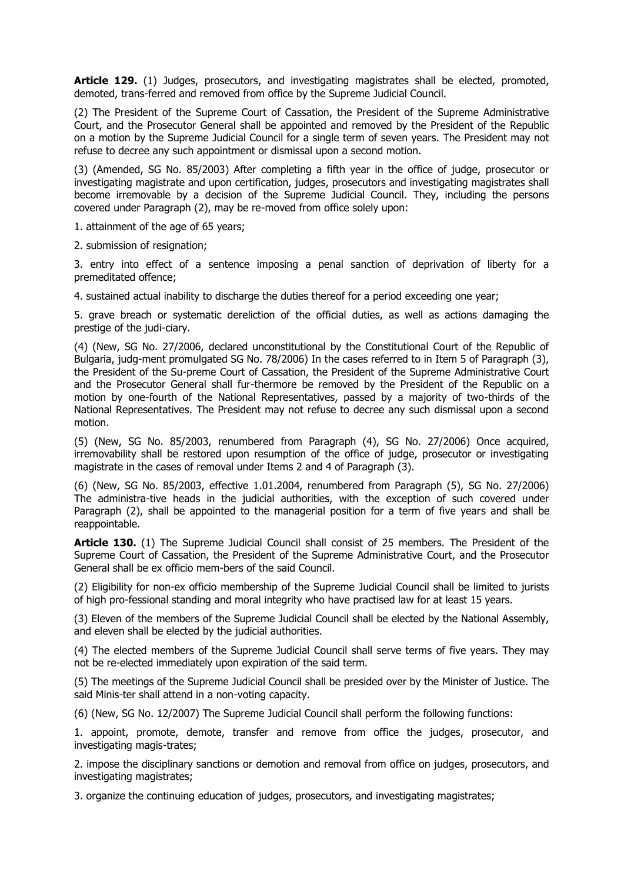Article 129. (1) Judges, prosecutors, and investigating magistrates shall be elected, promoted, demoted, trans-ferred and removed from office by the Supreme Judicial Council.

(2) The President of the Supreme Court of Cassation, the President of the Supreme Administrative Court, and the Prosecutor General shall be appointed and removed by the President of the Republic on a motion by the Supreme Judicial Council for a single term of seven years. The President may not refuse to decree any such appointment or dismissal upon a second motion.

(3) (Amended, SG No. 85/2003) After completing a fifth year in the office of judge, prosecutor or investigating magistrate and upon certification, judges, prosecutors and investigating magistrates shall become irremovable by a decision of the Supreme Judicial Council. They, including the persons covered under Paragraph (2), may be re-moved from office solely upon:

1. attainment of the age of 65 years;

2. submission of resignation;

3. entry into effect of a sentence imposing a penal sanction of deprivation of liberty for a premeditated offence;

4. sustained actual inability to discharge the duties thereof for a period exceeding one year;

5. grave breach or systematic dereliction of the official duties, as well as actions damaging the prestige of the judi-ciary.

(4) (New, SG No. 27/2006, declared unconstitutional by the Constitutional Court of the Republic of Bulgaria, judg-ment promulgated SG No. 78/2006) In the cases referred to in Item 5 of Paragraph (3), the President of the Su-preme Court of Cassation, the President of the Supreme Administrative Court and the Prosecutor General shall fur-thermore be removed by the President of the Republic on a motion by one-fourth of the National Representatives, passed by a majority of two-thirds of the National Representatives. The President may not refuse to decree any such dismissal upon a second motion.

(5) (New, SG No. 85/2003, renumbered from Paragraph (4), SG No. 27/2006) Once acquired, irremovability shall be restored upon resumption of the office of judge, prosecutor or investigating magistrate in the cases of removal under Items 2 and 4 of Paragraph (3).

(6) (New, SG No. 85/2003, effective 1.01.2004, renumbered from Paragraph (5), SG No. 27/2006) The administra-tive heads in the judicial authorities, with the exception of such covered under Paragraph (2), shall be appointed to the managerial position for a term of five years and shall be reappointable.

**Article 130.** (1) The Supreme Judicial Council shall consist of 25 members. The President of the Supreme Court of Cassation, the President of the Supreme Administrative Court, and the Prosecutor General shall be ex officio mem-bers of the said Council.

(2) Eligibility for non-ex officio membership of the Supreme Judicial Council shall be limited to jurists of high pro-fessional standing and moral integrity who have practised law for at least 15 years.

(3) Eleven of the members of the Supreme Judicial Council shall be elected by the National Assembly, and eleven shall be elected by the judicial authorities.

(4) The elected members of the Supreme Judicial Council shall serve terms of five years. They may not be re-elected immediately upon expiration of the said term.

(5) The meetings of the Supreme Judicial Council shall be presided over by the Minister of Justice. The said Minis-ter shall attend in a non-voting capacity.

(6) (New, SG No. 12/2007) The Supreme Judicial Council shall perform the following functions:

1. appoint, promote, demote, transfer and remove from office the judges, prosecutor, and investigating magis-trates;

2. impose the disciplinary sanctions or demotion and removal from office on judges, prosecutors, and investigating magistrates;

3. organize the continuing education of judges, prosecutors, and investigating magistrates;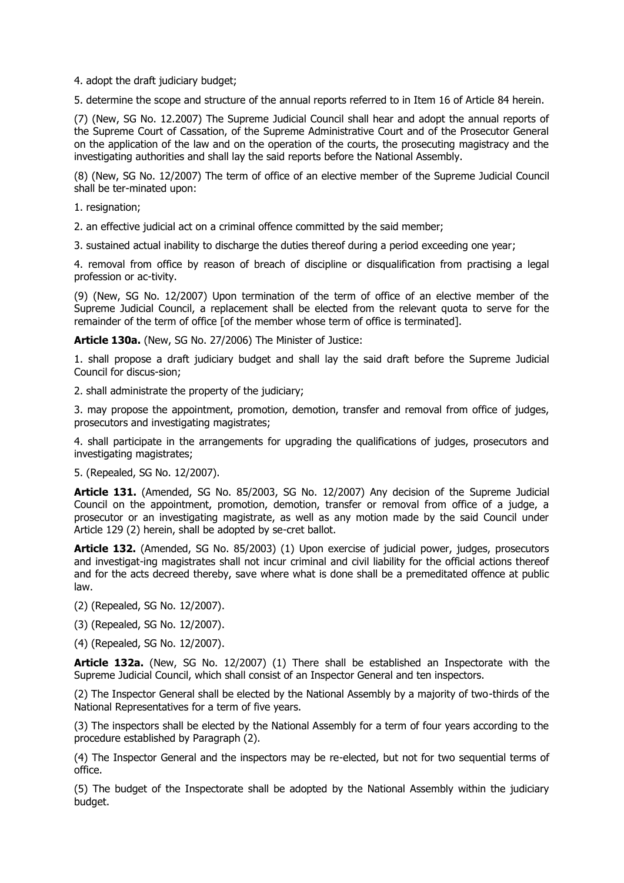4. adopt the draft judiciary budget;

5. determine the scope and structure of the annual reports referred to in Item 16 of Article 84 herein.

(7) (New, SG No. 12.2007) The Supreme Judicial Council shall hear and adopt the annual reports of the Supreme Court of Cassation, of the Supreme Administrative Court and of the Prosecutor General on the application of the law and on the operation of the courts, the prosecuting magistracy and the investigating authorities and shall lay the said reports before the National Assembly.

(8) (New, SG No. 12/2007) The term of office of an elective member of the Supreme Judicial Council shall be ter-minated upon:

- 1. resignation;
- 2. an effective judicial act on a criminal offence committed by the said member;
- 3. sustained actual inability to discharge the duties thereof during a period exceeding one year;

4. removal from office by reason of breach of discipline or disqualification from practising a legal profession or ac-tivity.

(9) (New, SG No. 12/2007) Upon termination of the term of office of an elective member of the Supreme Judicial Council, a replacement shall be elected from the relevant quota to serve for the remainder of the term of office [of the member whose term of office is terminated].

**Article 130a.** (New, SG No. 27/2006) The Minister of Justice:

1. shall propose a draft judiciary budget and shall lay the said draft before the Supreme Judicial Council for discus-sion;

2. shall administrate the property of the judiciary;

3. may propose the appointment, promotion, demotion, transfer and removal from office of judges, prosecutors and investigating magistrates;

4. shall participate in the arrangements for upgrading the qualifications of judges, prosecutors and investigating magistrates;

5. (Repealed, SG No. 12/2007).

**Article 131.** (Amended, SG No. 85/2003, SG No. 12/2007) Any decision of the Supreme Judicial Council on the appointment, promotion, demotion, transfer or removal from office of a judge, a prosecutor or an investigating magistrate, as well as any motion made by the said Council under Article 129 (2) herein, shall be adopted by se-cret ballot.

**Article 132.** (Amended, SG No. 85/2003) (1) Upon exercise of judicial power, judges, prosecutors and investigat-ing magistrates shall not incur criminal and civil liability for the official actions thereof and for the acts decreed thereby, save where what is done shall be a premeditated offence at public law.

(2) (Repealed, SG No. 12/2007).

(3) (Repealed, SG No. 12/2007).

(4) (Repealed, SG No. 12/2007).

**Article 132a.** (New, SG No. 12/2007) (1) There shall be established an Inspectorate with the Supreme Judicial Council, which shall consist of an Inspector General and ten inspectors.

(2) The Inspector General shall be elected by the National Assembly by a majority of two-thirds of the National Representatives for a term of five years.

(3) The inspectors shall be elected by the National Assembly for a term of four years according to the procedure established by Paragraph (2).

(4) The Inspector General and the inspectors may be re-elected, but not for two sequential terms of office.

(5) The budget of the Inspectorate shall be adopted by the National Assembly within the judiciary budget.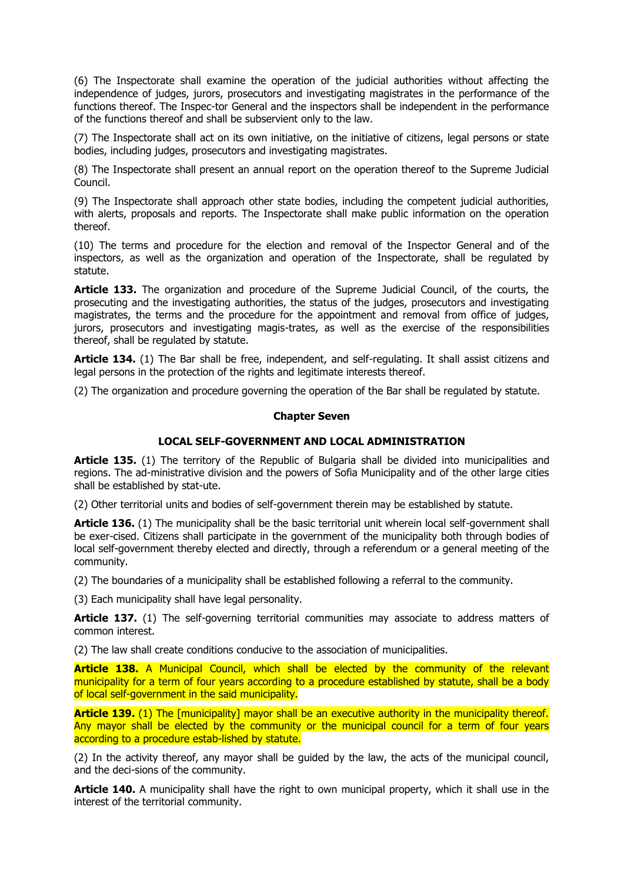(6) The Inspectorate shall examine the operation of the judicial authorities without affecting the independence of judges, jurors, prosecutors and investigating magistrates in the performance of the functions thereof. The Inspec-tor General and the inspectors shall be independent in the performance of the functions thereof and shall be subservient only to the law.

(7) The Inspectorate shall act on its own initiative, on the initiative of citizens, legal persons or state bodies, including judges, prosecutors and investigating magistrates.

(8) The Inspectorate shall present an annual report on the operation thereof to the Supreme Judicial Council.

(9) The Inspectorate shall approach other state bodies, including the competent judicial authorities, with alerts, proposals and reports. The Inspectorate shall make public information on the operation thereof.

(10) The terms and procedure for the election and removal of the Inspector General and of the inspectors, as well as the organization and operation of the Inspectorate, shall be regulated by statute.

**Article 133.** The organization and procedure of the Supreme Judicial Council, of the courts, the prosecuting and the investigating authorities, the status of the judges, prosecutors and investigating magistrates, the terms and the procedure for the appointment and removal from office of judges, jurors, prosecutors and investigating magis-trates, as well as the exercise of the responsibilities thereof, shall be regulated by statute.

**Article 134.** (1) The Bar shall be free, independent, and self-regulating. It shall assist citizens and legal persons in the protection of the rights and legitimate interests thereof.

(2) The organization and procedure governing the operation of the Bar shall be regulated by statute.

#### **Chapter Seven**

# **LOCAL SELF-GOVERNMENT AND LOCAL ADMINISTRATION**

**Article 135.** (1) The territory of the Republic of Bulgaria shall be divided into municipalities and regions. The ad-ministrative division and the powers of Sofia Municipality and of the other large cities shall be established by stat-ute.

(2) Other territorial units and bodies of self-government therein may be established by statute.

**Article 136.** (1) The municipality shall be the basic territorial unit wherein local self-government shall be exer-cised. Citizens shall participate in the government of the municipality both through bodies of local self-government thereby elected and directly, through a referendum or a general meeting of the community.

(2) The boundaries of a municipality shall be established following a referral to the community.

(3) Each municipality shall have legal personality.

**Article 137.** (1) The self-governing territorial communities may associate to address matters of common interest.

(2) The law shall create conditions conducive to the association of municipalities.

**Article 138.** A Municipal Council, which shall be elected by the community of the relevant municipality for a term of four years according to a procedure established by statute, shall be a body of local self-government in the said municipality.

**Article 139.** (1) The [municipality] mayor shall be an executive authority in the municipality thereof. Any mayor shall be elected by the community or the municipal council for a term of four years according to a procedure estab-lished by statute.

(2) In the activity thereof, any mayor shall be guided by the law, the acts of the municipal council, and the deci-sions of the community.

**Article 140.** A municipality shall have the right to own municipal property, which it shall use in the interest of the territorial community.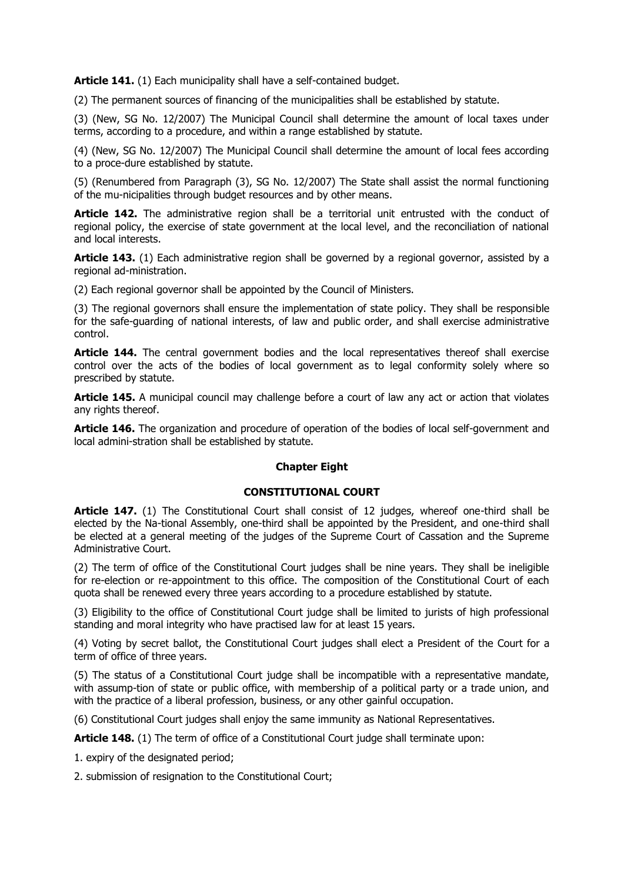Article 141. (1) Each municipality shall have a self-contained budget.

(2) The permanent sources of financing of the municipalities shall be established by statute.

(3) (New, SG No. 12/2007) The Municipal Council shall determine the amount of local taxes under terms, according to a procedure, and within a range established by statute.

(4) (New, SG No. 12/2007) The Municipal Council shall determine the amount of local fees according to a proce-dure established by statute.

(5) (Renumbered from Paragraph (3), SG No. 12/2007) The State shall assist the normal functioning of the mu-nicipalities through budget resources and by other means.

**Article 142.** The administrative region shall be a territorial unit entrusted with the conduct of regional policy, the exercise of state government at the local level, and the reconciliation of national and local interests.

**Article 143.** (1) Each administrative region shall be governed by a regional governor, assisted by a regional ad-ministration.

(2) Each regional governor shall be appointed by the Council of Ministers.

(3) The regional governors shall ensure the implementation of state policy. They shall be responsible for the safe-guarding of national interests, of law and public order, and shall exercise administrative control.

**Article 144.** The central government bodies and the local representatives thereof shall exercise control over the acts of the bodies of local government as to legal conformity solely where so prescribed by statute.

**Article 145.** A municipal council may challenge before a court of law any act or action that violates any rights thereof.

**Article 146.** The organization and procedure of operation of the bodies of local self-government and local admini-stration shall be established by statute.

### **Chapter Eight**

### **CONSTITUTIONAL COURT**

Article 147. (1) The Constitutional Court shall consist of 12 judges, whereof one-third shall be elected by the Na-tional Assembly, one-third shall be appointed by the President, and one-third shall be elected at a general meeting of the judges of the Supreme Court of Cassation and the Supreme Administrative Court.

(2) The term of office of the Constitutional Court judges shall be nine years. They shall be ineligible for re-election or re-appointment to this office. The composition of the Constitutional Court of each quota shall be renewed every three years according to a procedure established by statute.

(3) Eligibility to the office of Constitutional Court judge shall be limited to jurists of high professional standing and moral integrity who have practised law for at least 15 years.

(4) Voting by secret ballot, the Constitutional Court judges shall elect a President of the Court for a term of office of three years.

(5) The status of a Constitutional Court judge shall be incompatible with a representative mandate, with assump-tion of state or public office, with membership of a political party or a trade union, and with the practice of a liberal profession, business, or any other gainful occupation.

(6) Constitutional Court judges shall enjoy the same immunity as National Representatives.

**Article 148.** (1) The term of office of a Constitutional Court judge shall terminate upon:

1. expiry of the designated period;

2. submission of resignation to the Constitutional Court;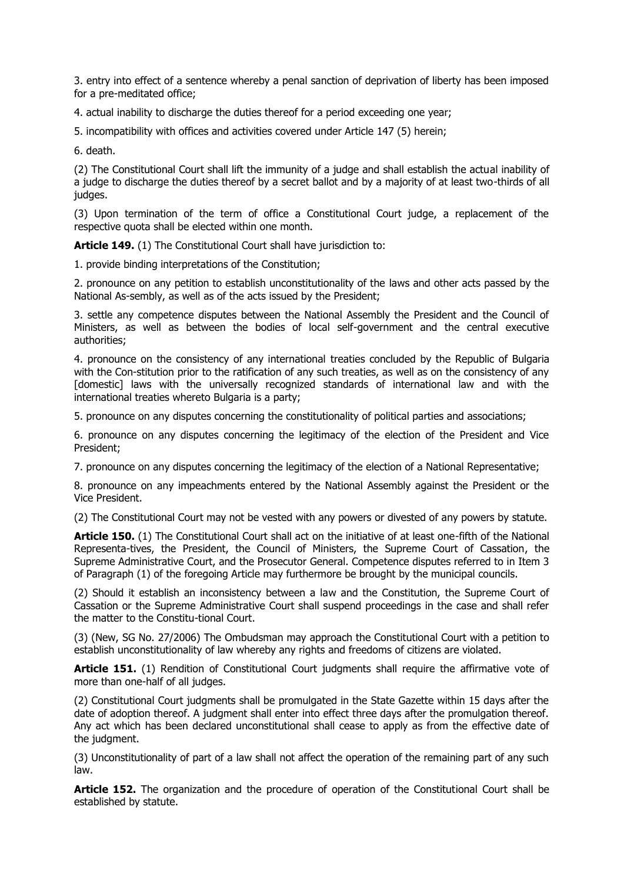3. entry into effect of a sentence whereby a penal sanction of deprivation of liberty has been imposed for a pre-meditated office;

4. actual inability to discharge the duties thereof for a period exceeding one year;

5. incompatibility with offices and activities covered under Article 147 (5) herein;

6. death.

(2) The Constitutional Court shall lift the immunity of a judge and shall establish the actual inability of a judge to discharge the duties thereof by a secret ballot and by a majority of at least two-thirds of all judges.

(3) Upon termination of the term of office a Constitutional Court judge, a replacement of the respective quota shall be elected within one month.

**Article 149.** (1) The Constitutional Court shall have jurisdiction to:

1. provide binding interpretations of the Constitution;

2. pronounce on any petition to establish unconstitutionality of the laws and other acts passed by the National As-sembly, as well as of the acts issued by the President;

3. settle any competence disputes between the National Assembly the President and the Council of Ministers, as well as between the bodies of local self-government and the central executive authorities;

4. pronounce on the consistency of any international treaties concluded by the Republic of Bulgaria with the Con-stitution prior to the ratification of any such treaties, as well as on the consistency of any [domestic] laws with the universally recognized standards of international law and with the international treaties whereto Bulgaria is a party;

5. pronounce on any disputes concerning the constitutionality of political parties and associations;

6. pronounce on any disputes concerning the legitimacy of the election of the President and Vice President;

7. pronounce on any disputes concerning the legitimacy of the election of a National Representative;

8. pronounce on any impeachments entered by the National Assembly against the President or the Vice President.

(2) The Constitutional Court may not be vested with any powers or divested of any powers by statute.

**Article 150.** (1) The Constitutional Court shall act on the initiative of at least one-fifth of the National Representa-tives, the President, the Council of Ministers, the Supreme Court of Cassation, the Supreme Administrative Court, and the Prosecutor General. Competence disputes referred to in Item 3 of Paragraph (1) of the foregoing Article may furthermore be brought by the municipal councils.

(2) Should it establish an inconsistency between a law and the Constitution, the Supreme Court of Cassation or the Supreme Administrative Court shall suspend proceedings in the case and shall refer the matter to the Constitu-tional Court.

(3) (New, SG No. 27/2006) The Ombudsman may approach the Constitutional Court with a petition to establish unconstitutionality of law whereby any rights and freedoms of citizens are violated.

Article 151. (1) Rendition of Constitutional Court judgments shall require the affirmative vote of more than one-half of all judges.

(2) Constitutional Court judgments shall be promulgated in the State Gazette within 15 days after the date of adoption thereof. A judgment shall enter into effect three days after the promulgation thereof. Any act which has been declared unconstitutional shall cease to apply as from the effective date of the judgment.

(3) Unconstitutionality of part of a law shall not affect the operation of the remaining part of any such law.

**Article 152.** The organization and the procedure of operation of the Constitutional Court shall be established by statute.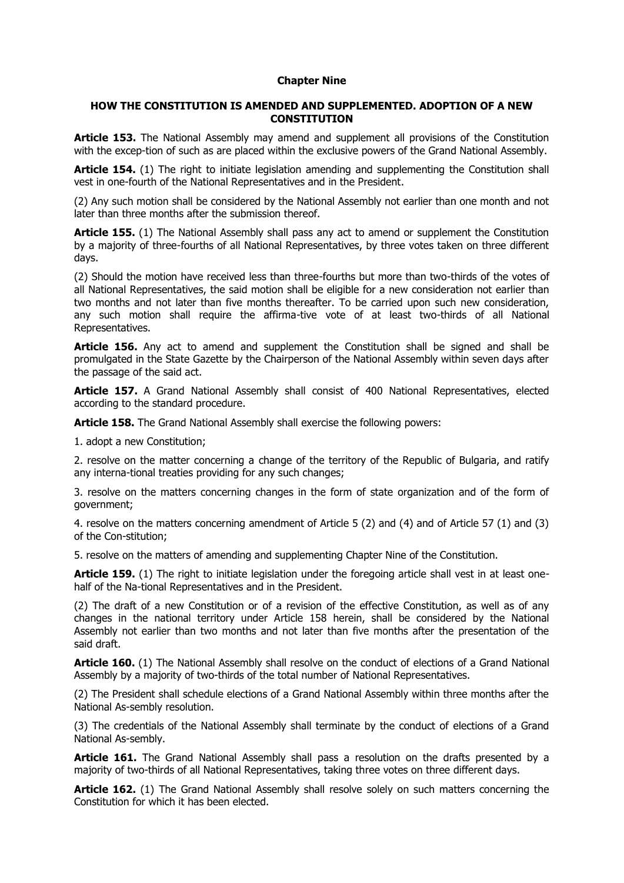#### **Chapter Nine**

### **HOW THE CONSTITUTION IS AMENDED AND SUPPLEMENTED. ADOPTION OF A NEW CONSTITUTION**

**Article 153.** The National Assembly may amend and supplement all provisions of the Constitution with the excep-tion of such as are placed within the exclusive powers of the Grand National Assembly.

**Article 154.** (1) The right to initiate legislation amending and supplementing the Constitution shall vest in one-fourth of the National Representatives and in the President.

(2) Any such motion shall be considered by the National Assembly not earlier than one month and not later than three months after the submission thereof.

**Article 155.** (1) The National Assembly shall pass any act to amend or supplement the Constitution by a majority of three-fourths of all National Representatives, by three votes taken on three different days.

(2) Should the motion have received less than three-fourths but more than two-thirds of the votes of all National Representatives, the said motion shall be eligible for a new consideration not earlier than two months and not later than five months thereafter. To be carried upon such new consideration, any such motion shall require the affirma-tive vote of at least two-thirds of all National Representatives.

**Article 156.** Any act to amend and supplement the Constitution shall be signed and shall be promulgated in the State Gazette by the Chairperson of the National Assembly within seven days after the passage of the said act.

**Article 157.** A Grand National Assembly shall consist of 400 National Representatives, elected according to the standard procedure.

**Article 158.** The Grand National Assembly shall exercise the following powers:

1. adopt a new Constitution;

2. resolve on the matter concerning a change of the territory of the Republic of Bulgaria, and ratify any interna-tional treaties providing for any such changes;

3. resolve on the matters concerning changes in the form of state organization and of the form of government;

4. resolve on the matters concerning amendment of Article 5 (2) and (4) and of Article 57 (1) and (3) of the Con-stitution;

5. resolve on the matters of amending and supplementing Chapter Nine of the Constitution.

**Article 159.** (1) The right to initiate legislation under the foregoing article shall vest in at least onehalf of the Na-tional Representatives and in the President.

(2) The draft of a new Constitution or of a revision of the effective Constitution, as well as of any changes in the national territory under Article 158 herein, shall be considered by the National Assembly not earlier than two months and not later than five months after the presentation of the said draft.

**Article 160.** (1) The National Assembly shall resolve on the conduct of elections of a Grand National Assembly by a majority of two-thirds of the total number of National Representatives.

(2) The President shall schedule elections of a Grand National Assembly within three months after the National As-sembly resolution.

(3) The credentials of the National Assembly shall terminate by the conduct of elections of a Grand National As-sembly.

Article 161. The Grand National Assembly shall pass a resolution on the drafts presented by a majority of two-thirds of all National Representatives, taking three votes on three different days.

**Article 162.** (1) The Grand National Assembly shall resolve solely on such matters concerning the Constitution for which it has been elected.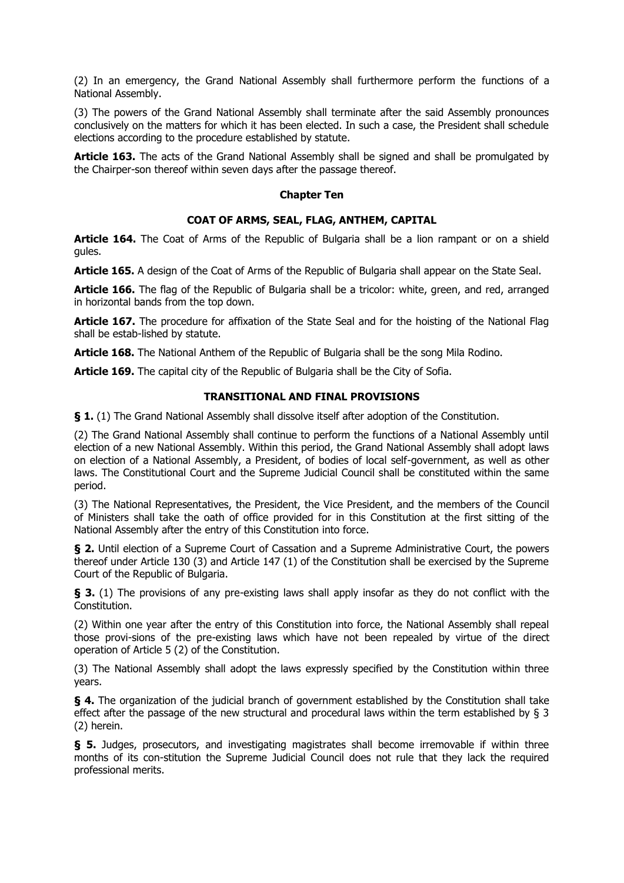(2) In an emergency, the Grand National Assembly shall furthermore perform the functions of a National Assembly.

(3) The powers of the Grand National Assembly shall terminate after the said Assembly pronounces conclusively on the matters for which it has been elected. In such a case, the President shall schedule elections according to the procedure established by statute.

**Article 163.** The acts of the Grand National Assembly shall be signed and shall be promulgated by the Chairper-son thereof within seven days after the passage thereof.

### **Chapter Ten**

# **COAT OF ARMS, SEAL, FLAG, ANTHEM, CAPITAL**

**Article 164.** The Coat of Arms of the Republic of Bulgaria shall be a lion rampant or on a shield gules.

**Article 165.** A design of the Coat of Arms of the Republic of Bulgaria shall appear on the State Seal.

**Article 166.** The flag of the Republic of Bulgaria shall be a tricolor: white, green, and red, arranged in horizontal bands from the top down.

**Article 167.** The procedure for affixation of the State Seal and for the hoisting of the National Flag shall be estab-lished by statute.

**Article 168.** The National Anthem of the Republic of Bulgaria shall be the song Mila Rodino.

**Article 169.** The capital city of the Republic of Bulgaria shall be the City of Sofia.

# **TRANSITIONAL AND FINAL PROVISIONS**

**§ 1.** (1) The Grand National Assembly shall dissolve itself after adoption of the Constitution.

(2) The Grand National Assembly shall continue to perform the functions of a National Assembly until election of a new National Assembly. Within this period, the Grand National Assembly shall adopt laws on election of a National Assembly, a President, of bodies of local self-government, as well as other laws. The Constitutional Court and the Supreme Judicial Council shall be constituted within the same period.

(3) The National Representatives, the President, the Vice President, and the members of the Council of Ministers shall take the oath of office provided for in this Constitution at the first sitting of the National Assembly after the entry of this Constitution into force.

**§ 2.** Until election of a Supreme Court of Cassation and a Supreme Administrative Court, the powers thereof under Article 130 (3) and Article 147 (1) of the Constitution shall be exercised by the Supreme Court of the Republic of Bulgaria.

**§ 3.** (1) The provisions of any pre-existing laws shall apply insofar as they do not conflict with the Constitution.

(2) Within one year after the entry of this Constitution into force, the National Assembly shall repeal those provi-sions of the pre-existing laws which have not been repealed by virtue of the direct operation of Article 5 (2) of the Constitution.

(3) The National Assembly shall adopt the laws expressly specified by the Constitution within three years.

**§ 4.** The organization of the judicial branch of government established by the Constitution shall take effect after the passage of the new structural and procedural laws within the term established by § 3 (2) herein.

**§ 5.** Judges, prosecutors, and investigating magistrates shall become irremovable if within three months of its con-stitution the Supreme Judicial Council does not rule that they lack the required professional merits.